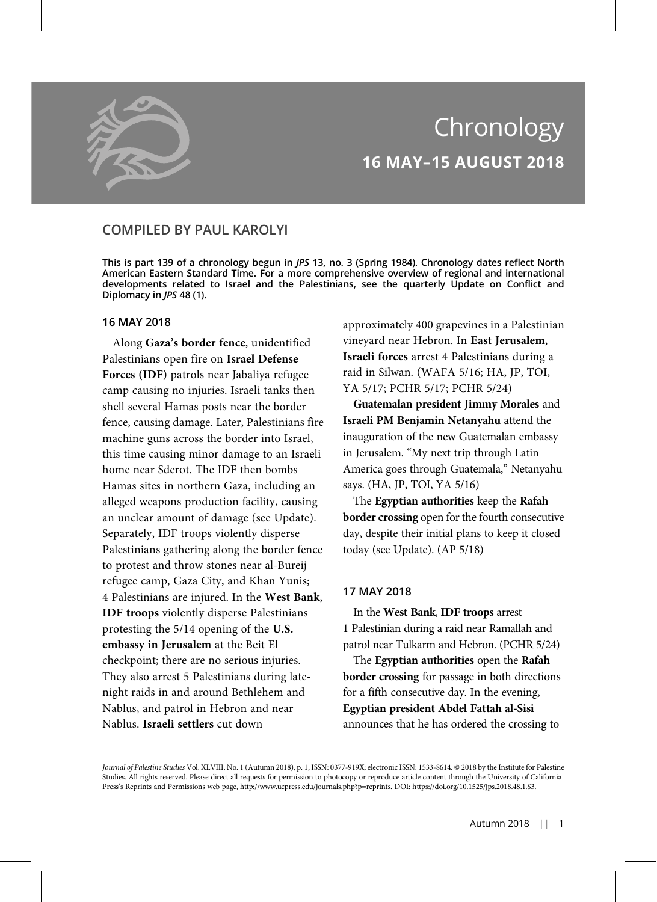

# Chronology 16 MAY–15 AUGUST 2018

# COMPILED BY PAUL KAROLYI

This is part 139 of a chronology begun in JPS 13, no. 3 (Spring 1984). Chronology dates reflect North American Eastern Standard Time. For a more comprehensive overview of regional and international developments related to Israel and the Palestinians, see the quarterly Update on Conflict and Diplomacy in JPS 48 (1).

# 16 MAY 2018

Along Gaza's border fence, unidentified Palestinians open fire on Israel Defense Forces (IDF) patrols near Jabaliya refugee camp causing no injuries. Israeli tanks then shell several Hamas posts near the border fence, causing damage. Later, Palestinians fire machine guns across the border into Israel, this time causing minor damage to an Israeli home near Sderot. The IDF then bombs Hamas sites in northern Gaza, including an alleged weapons production facility, causing an unclear amount of damage (see Update). Separately, IDF troops violently disperse Palestinians gathering along the border fence to protest and throw stones near al-Bureij refugee camp, Gaza City, and Khan Yunis; 4 Palestinians are injured. In the West Bank, IDF troops violently disperse Palestinians protesting the 5/14 opening of the U.S. embassy in Jerusalem at the Beit El checkpoint; there are no serious injuries. They also arrest 5 Palestinians during latenight raids in and around Bethlehem and Nablus, and patrol in Hebron and near Nablus. Israeli settlers cut down

approximately 400 grapevines in a Palestinian vineyard near Hebron. In East Jerusalem, Israeli forces arrest 4 Palestinians during a raid in Silwan. (WAFA 5/16; HA, JP, TOI, YA 5/17; PCHR 5/17; PCHR 5/24)

Guatemalan president Jimmy Morales and Israeli PM Benjamin Netanyahu attend the inauguration of the new Guatemalan embassy in Jerusalem. "My next trip through Latin America goes through Guatemala," Netanyahu says. (HA, JP, TOI, YA 5/16)

The Egyptian authorities keep the Rafah border crossing open for the fourth consecutive day, despite their initial plans to keep it closed today (see Update). (AP 5/18)

# 17 MAY 2018

In the West Bank, IDF troops arrest 1 Palestinian during a raid near Ramallah and patrol near Tulkarm and Hebron. (PCHR 5/24)

The Egyptian authorities open the Rafah border crossing for passage in both directions for a fifth consecutive day. In the evening, Egyptian president Abdel Fattah al-Sisi announces that he has ordered the crossing to

Journal of Palestine Studies Vol. XLVIII, No. 1 (Autumn 2018), p. 1, ISSN: 0377-919X; electronic ISSN: 1533-8614. © 2018 by the Institute for Palestine Studies. All rights reserved. Please direct all requests for permission to photocopy or reproduce article content through the University of California Press's Reprints and Permissions web page, http://www.ucpress.edu/journals.php?p=reprints. DOI: https://doi.org/10.1525/jps.2018.48.1.S3.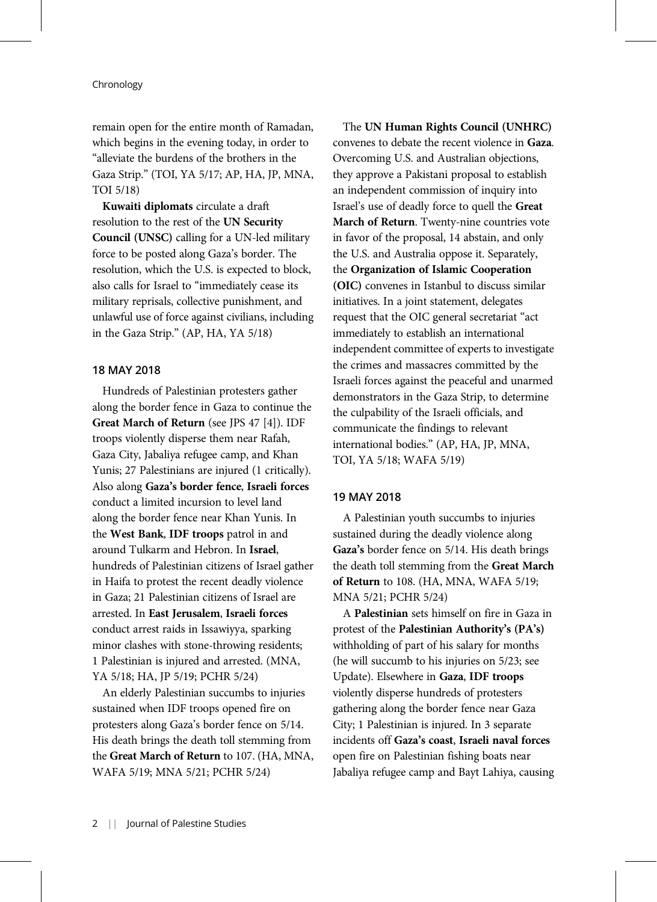remain open for the entire month of Ramadan, which begins in the evening today, in order to "alleviate the burdens of the brothers in the Gaza Strip." (TOI, YA 5/17; AP, HA, JP, MNA, TOI 5/18)

Kuwaiti diplomats circulate a draft resolution to the rest of the UN Security Council (UNSC) calling for a UN-led military force to be posted along Gaza's border. The resolution, which the U.S. is expected to block, also calls for Israel to "immediately cease its military reprisals, collective punishment, and unlawful use of force against civilians, including in the Gaza Strip." (AP, HA, YA 5/18)

# 18 MAY 2018

Hundreds of Palestinian protesters gather along the border fence in Gaza to continue the Great March of Return (see JPS 47 [4]). IDF troops violently disperse them near Rafah, Gaza City, Jabaliya refugee camp, and Khan Yunis; 27 Palestinians are injured (1 critically). Also along Gaza's border fence, Israeli forces conduct a limited incursion to level land along the border fence near Khan Yunis. In the West Bank, IDF troops patrol in and around Tulkarm and Hebron. In Israel, hundreds of Palestinian citizens of Israel gather in Haifa to protest the recent deadly violence in Gaza; 21 Palestinian citizens of Israel are arrested. In East Jerusalem, Israeli forces conduct arrest raids in Issawiyya, sparking minor clashes with stone-throwing residents; 1 Palestinian is injured and arrested. (MNA, YA 5/18; HA, JP 5/19; PCHR 5/24)

An elderly Palestinian succumbs to injuries sustained when IDF troops opened fire on protesters along Gaza's border fence on 5/14. His death brings the death toll stemming from the Great March of Return to 107. (HA, MNA, WAFA 5/19; MNA 5/21; PCHR 5/24)

The UN Human Rights Council (UNHRC) convenes to debate the recent violence in Gaza. Overcoming U.S. and Australian objections, they approve a Pakistani proposal to establish an independent commission of inquiry into Israel's use of deadly force to quell the Great March of Return. Twenty-nine countries vote in favor of the proposal, 14 abstain, and only the U.S. and Australia oppose it. Separately, the Organization of Islamic Cooperation (OIC) convenes in Istanbul to discuss similar initiatives. In a joint statement, delegates request that the OIC general secretariat "act immediately to establish an international independent committee of experts to investigate the crimes and massacres committed by the Israeli forces against the peaceful and unarmed demonstrators in the Gaza Strip, to determine the culpability of the Israeli officials, and communicate the findings to relevant international bodies." (AP, HA, JP, MNA, TOI, YA 5/18; WAFA 5/19)

# 19 MAY 2018

A Palestinian youth succumbs to injuries sustained during the deadly violence along Gaza's border fence on 5/14. His death brings the death toll stemming from the Great March of Return to 108. (HA, MNA, WAFA 5/19; MNA 5/21; PCHR 5/24)

A Palestinian sets himself on fire in Gaza in protest of the Palestinian Authority's (PA's) withholding of part of his salary for months (he will succumb to his injuries on 5/23; see Update). Elsewhere in Gaza, IDF troops violently disperse hundreds of protesters gathering along the border fence near Gaza City; 1 Palestinian is injured. In 3 separate incidents off Gaza's coast, Israeli naval forces open fire on Palestinian fishing boats near Jabaliya refugee camp and Bayt Lahiya, causing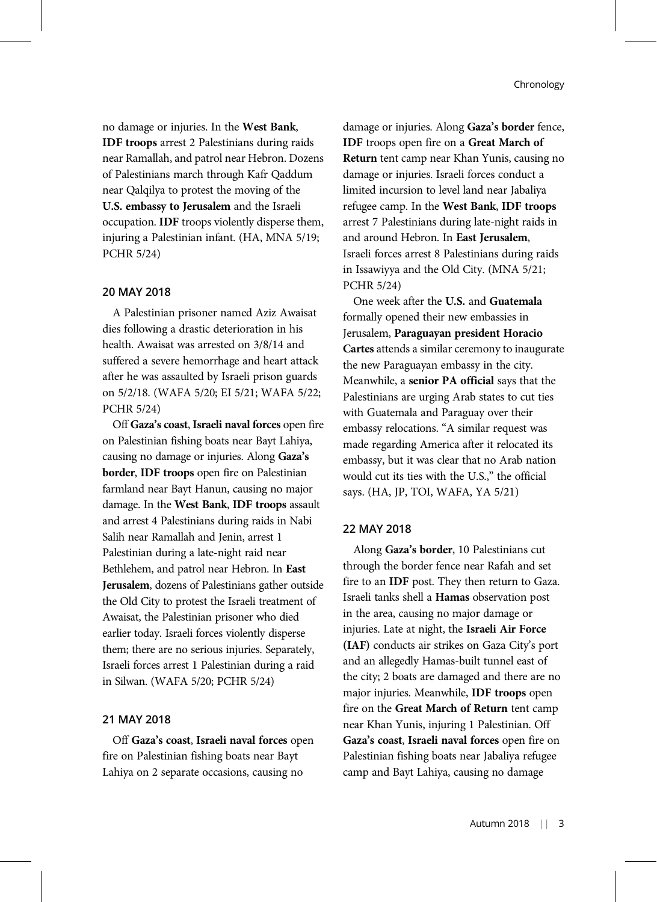no damage or injuries. In the West Bank, IDF troops arrest 2 Palestinians during raids near Ramallah, and patrol near Hebron. Dozens of Palestinians march through Kafr Qaddum near Qalqilya to protest the moving of the U.S. embassy to Jerusalem and the Israeli occupation. IDF troops violently disperse them, injuring a Palestinian infant. (HA, MNA 5/19; PCHR 5/24)

# 20 MAY 2018

A Palestinian prisoner named Aziz Awaisat dies following a drastic deterioration in his health. Awaisat was arrested on 3/8/14 and suffered a severe hemorrhage and heart attack after he was assaulted by Israeli prison guards on 5/2/18. (WAFA 5/20; EI 5/21; WAFA 5/22; PCHR 5/24)

Off Gaza's coast, Israeli naval forces open fire on Palestinian fishing boats near Bayt Lahiya, causing no damage or injuries. Along Gaza's border, IDF troops open fire on Palestinian farmland near Bayt Hanun, causing no major damage. In the West Bank, IDF troops assault and arrest 4 Palestinians during raids in Nabi Salih near Ramallah and Jenin, arrest 1 Palestinian during a late-night raid near Bethlehem, and patrol near Hebron. In East Jerusalem, dozens of Palestinians gather outside the Old City to protest the Israeli treatment of Awaisat, the Palestinian prisoner who died earlier today. Israeli forces violently disperse them; there are no serious injuries. Separately, Israeli forces arrest 1 Palestinian during a raid in Silwan. (WAFA 5/20; PCHR 5/24)

# 21 MAY 2018

Off Gaza's coast, Israeli naval forces open fire on Palestinian fishing boats near Bayt Lahiya on 2 separate occasions, causing no

damage or injuries. Along Gaza's border fence, IDF troops open fire on a Great March of Return tent camp near Khan Yunis, causing no damage or injuries. Israeli forces conduct a limited incursion to level land near Jabaliya refugee camp. In the West Bank, IDF troops arrest 7 Palestinians during late-night raids in and around Hebron. In East Jerusalem, Israeli forces arrest 8 Palestinians during raids in Issawiyya and the Old City. (MNA 5/21; PCHR 5/24)

One week after the U.S. and Guatemala formally opened their new embassies in Jerusalem, Paraguayan president Horacio Cartes attends a similar ceremony to inaugurate the new Paraguayan embassy in the city. Meanwhile, a senior PA official says that the Palestinians are urging Arab states to cut ties with Guatemala and Paraguay over their embassy relocations. "A similar request was made regarding America after it relocated its embassy, but it was clear that no Arab nation would cut its ties with the U.S.," the official says. (HA, JP, TOI, WAFA, YA 5/21)

### 22 MAY 2018

Along Gaza's border, 10 Palestinians cut through the border fence near Rafah and set fire to an IDF post. They then return to Gaza. Israeli tanks shell a Hamas observation post in the area, causing no major damage or injuries. Late at night, the Israeli Air Force (IAF) conducts air strikes on Gaza City's port and an allegedly Hamas-built tunnel east of the city; 2 boats are damaged and there are no major injuries. Meanwhile, IDF troops open fire on the Great March of Return tent camp near Khan Yunis, injuring 1 Palestinian. Off Gaza's coast, Israeli naval forces open fire on Palestinian fishing boats near Jabaliya refugee camp and Bayt Lahiya, causing no damage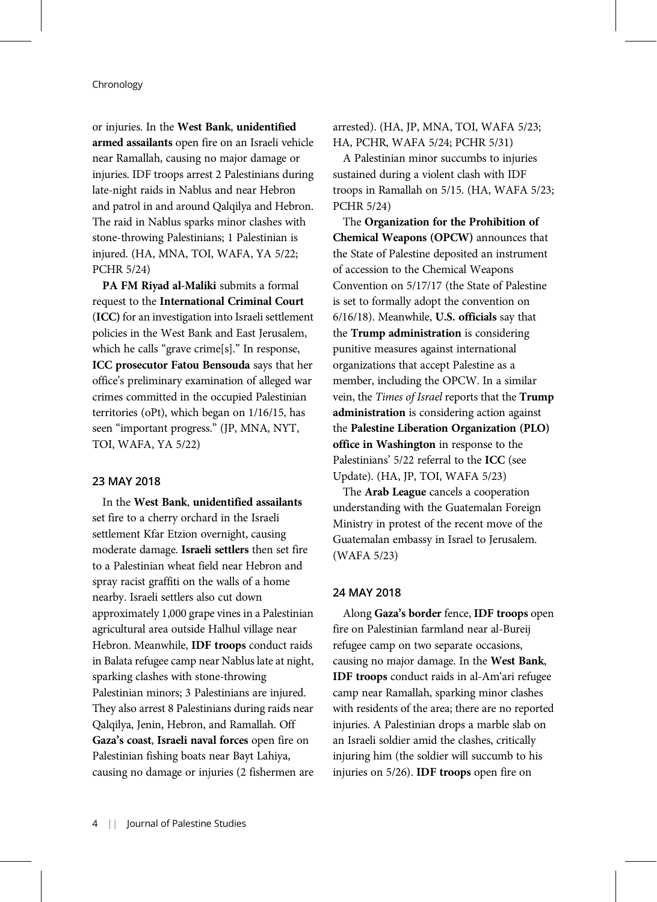or injuries. In the West Bank, unidentified armed assailants open fire on an Israeli vehicle near Ramallah, causing no major damage or injuries. IDF troops arrest 2 Palestinians during late-night raids in Nablus and near Hebron and patrol in and around Qalqilya and Hebron. The raid in Nablus sparks minor clashes with stone-throwing Palestinians; 1 Palestinian is injured. (HA, MNA, TOI, WAFA, YA 5/22; PCHR 5/24)

PA FM Riyad al-Maliki submits a formal request to the International Criminal Court (ICC) for an investigation into Israeli settlement policies in the West Bank and East Jerusalem, which he calls "grave crime[s]." In response, ICC prosecutor Fatou Bensouda says that her office's preliminary examination of alleged war crimes committed in the occupied Palestinian territories (oPt), which began on 1/16/15, has seen "important progress." (JP, MNA, NYT, TOI, WAFA, YA 5/22)

## 23 MAY 2018

In the West Bank, unidentified assailants set fire to a cherry orchard in the Israeli settlement Kfar Etzion overnight, causing moderate damage. Israeli settlers then set fire to a Palestinian wheat field near Hebron and spray racist graffiti on the walls of a home nearby. Israeli settlers also cut down approximately 1,000 grape vines in a Palestinian agricultural area outside Halhul village near Hebron. Meanwhile, IDF troops conduct raids in Balata refugee camp near Nablus late at night, sparking clashes with stone-throwing Palestinian minors; 3 Palestinians are injured. They also arrest 8 Palestinians during raids near Qalqilya, Jenin, Hebron, and Ramallah. Off Gaza's coast, Israeli naval forces open fire on Palestinian fishing boats near Bayt Lahiya, causing no damage or injuries (2 fishermen are arrested). (HA, JP, MNA, TOI, WAFA 5/23; HA, PCHR, WAFA 5/24; PCHR 5/31)

A Palestinian minor succumbs to injuries sustained during a violent clash with IDF troops in Ramallah on 5/15. (HA, WAFA 5/23; PCHR 5/24)

The Organization for the Prohibition of Chemical Weapons (OPCW) announces that the State of Palestine deposited an instrument of accession to the Chemical Weapons Convention on 5/17/17 (the State of Palestine is set to formally adopt the convention on 6/16/18). Meanwhile, U.S. officials say that the Trump administration is considering punitive measures against international organizations that accept Palestine as a member, including the OPCW. In a similar vein, the Times of Israel reports that the Trump administration is considering action against the Palestine Liberation Organization (PLO) office in Washington in response to the Palestinians' 5/22 referral to the ICC (see Update). (HA, JP, TOI, WAFA 5/23)

The **Arab League** cancels a cooperation understanding with the Guatemalan Foreign Ministry in protest of the recent move of the Guatemalan embassy in Israel to Jerusalem. (WAFA 5/23)

# 24 MAY 2018

Along Gaza's border fence, IDF troops open fire on Palestinian farmland near al-Bureij refugee camp on two separate occasions, causing no major damage. In the West Bank, IDF troops conduct raids in al-Am'ari refugee camp near Ramallah, sparking minor clashes with residents of the area; there are no reported injuries. A Palestinian drops a marble slab on an Israeli soldier amid the clashes, critically injuring him (the soldier will succumb to his injuries on 5/26). IDF troops open fire on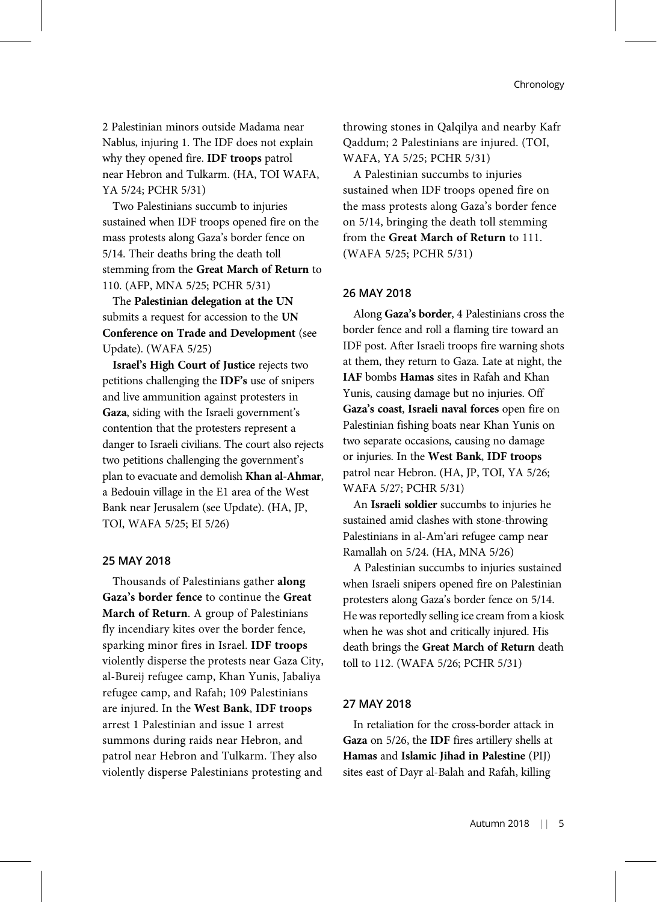2 Palestinian minors outside Madama near Nablus, injuring 1. The IDF does not explain why they opened fire. IDF troops patrol near Hebron and Tulkarm. (HA, TOI WAFA, YA 5/24; PCHR 5/31)

Two Palestinians succumb to injuries sustained when IDF troops opened fire on the mass protests along Gaza's border fence on 5/14. Their deaths bring the death toll stemming from the Great March of Return to 110. (AFP, MNA 5/25; PCHR 5/31)

The Palestinian delegation at the UN submits a request for accession to the UN Conference on Trade and Development (see Update). (WAFA 5/25)

Israel's High Court of Justice rejects two petitions challenging the IDF's use of snipers and live ammunition against protesters in Gaza, siding with the Israeli government's contention that the protesters represent a danger to Israeli civilians. The court also rejects two petitions challenging the government's plan to evacuate and demolish Khan al-Ahmar, a Bedouin village in the E1 area of the West Bank near Jerusalem (see Update). (HA, JP, TOI, WAFA 5/25; EI 5/26)

## 25 MAY 2018

Thousands of Palestinians gather along Gaza's border fence to continue the Great March of Return. A group of Palestinians fly incendiary kites over the border fence, sparking minor fires in Israel. IDF troops violently disperse the protests near Gaza City, al-Bureij refugee camp, Khan Yunis, Jabaliya refugee camp, and Rafah; 109 Palestinians are injured. In the West Bank, IDF troops arrest 1 Palestinian and issue 1 arrest summons during raids near Hebron, and patrol near Hebron and Tulkarm. They also violently disperse Palestinians protesting and throwing stones in Qalqilya and nearby Kafr Qaddum; 2 Palestinians are injured. (TOI, WAFA, YA 5/25; PCHR 5/31)

A Palestinian succumbs to injuries sustained when IDF troops opened fire on the mass protests along Gaza's border fence on 5/14, bringing the death toll stemming from the Great March of Return to 111. (WAFA 5/25; PCHR 5/31)

# 26 MAY 2018

Along Gaza's border, 4 Palestinians cross the border fence and roll a flaming tire toward an IDF post. After Israeli troops fire warning shots at them, they return to Gaza. Late at night, the IAF bombs Hamas sites in Rafah and Khan Yunis, causing damage but no injuries. Off Gaza's coast, Israeli naval forces open fire on Palestinian fishing boats near Khan Yunis on two separate occasions, causing no damage or injuries. In the West Bank, IDF troops patrol near Hebron. (HA, JP, TOI, YA 5/26; WAFA 5/27; PCHR 5/31)

An Israeli soldier succumbs to injuries he sustained amid clashes with stone-throwing Palestinians in al-Am'ari refugee camp near Ramallah on 5/24. (HA, MNA 5/26)

A Palestinian succumbs to injuries sustained when Israeli snipers opened fire on Palestinian protesters along Gaza's border fence on 5/14. He was reportedly selling ice cream from a kiosk when he was shot and critically injured. His death brings the Great March of Return death toll to 112. (WAFA 5/26; PCHR 5/31)

#### 27 MAY 2018

In retaliation for the cross-border attack in Gaza on 5/26, the IDF fires artillery shells at Hamas and Islamic Jihad in Palestine (PIJ) sites east of Dayr al-Balah and Rafah, killing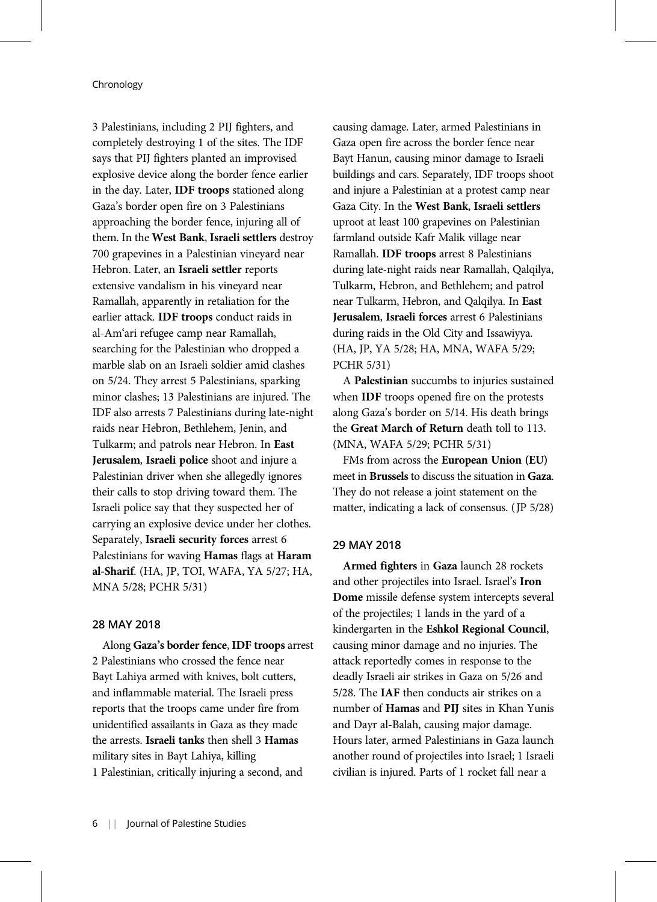3 Palestinians, including 2 PIJ fighters, and completely destroying 1 of the sites. The IDF says that PIJ fighters planted an improvised explosive device along the border fence earlier in the day. Later, IDF troops stationed along Gaza's border open fire on 3 Palestinians approaching the border fence, injuring all of them. In the West Bank, Israeli settlers destroy 700 grapevines in a Palestinian vineyard near Hebron. Later, an Israeli settler reports extensive vandalism in his vineyard near Ramallah, apparently in retaliation for the earlier attack. IDF troops conduct raids in al-Am'ari refugee camp near Ramallah, searching for the Palestinian who dropped a marble slab on an Israeli soldier amid clashes on 5/24. They arrest 5 Palestinians, sparking minor clashes; 13 Palestinians are injured. The IDF also arrests 7 Palestinians during late-night raids near Hebron, Bethlehem, Jenin, and Tulkarm; and patrols near Hebron. In East Jerusalem, Israeli police shoot and injure a Palestinian driver when she allegedly ignores their calls to stop driving toward them. The Israeli police say that they suspected her of carrying an explosive device under her clothes. Separately, Israeli security forces arrest 6 Palestinians for waving Hamas flags at Haram al-Sharif. (HA, JP, TOI, WAFA, YA 5/27; HA, MNA 5/28; PCHR 5/31)

# 28 MAY 2018

Along Gaza's border fence, IDF troops arrest 2 Palestinians who crossed the fence near Bayt Lahiya armed with knives, bolt cutters, and inflammable material. The Israeli press reports that the troops came under fire from unidentified assailants in Gaza as they made the arrests. Israeli tanks then shell 3 Hamas military sites in Bayt Lahiya, killing 1 Palestinian, critically injuring a second, and

causing damage. Later, armed Palestinians in Gaza open fire across the border fence near Bayt Hanun, causing minor damage to Israeli buildings and cars. Separately, IDF troops shoot and injure a Palestinian at a protest camp near Gaza City. In the West Bank, Israeli settlers uproot at least 100 grapevines on Palestinian farmland outside Kafr Malik village near Ramallah. IDF troops arrest 8 Palestinians during late-night raids near Ramallah, Qalqilya, Tulkarm, Hebron, and Bethlehem; and patrol near Tulkarm, Hebron, and Qalqilya. In East Jerusalem, Israeli forces arrest 6 Palestinians during raids in the Old City and Issawiyya. (HA, JP, YA 5/28; HA, MNA, WAFA 5/29; PCHR 5/31)

A Palestinian succumbs to injuries sustained when IDF troops opened fire on the protests along Gaza's border on 5/14. His death brings the Great March of Return death toll to 113. (MNA, WAFA 5/29; PCHR 5/31)

FMs from across the European Union (EU) meet in Brussels to discuss the situation in Gaza. They do not release a joint statement on the matter, indicating a lack of consensus. (JP 5/28)

# 29 MAY 2018

Armed fighters in Gaza launch 28 rockets and other projectiles into Israel. Israel's Iron Dome missile defense system intercepts several of the projectiles; 1 lands in the yard of a kindergarten in the Eshkol Regional Council, causing minor damage and no injuries. The attack reportedly comes in response to the deadly Israeli air strikes in Gaza on 5/26 and 5/28. The IAF then conducts air strikes on a number of Hamas and PIJ sites in Khan Yunis and Dayr al-Balah, causing major damage. Hours later, armed Palestinians in Gaza launch another round of projectiles into Israel; 1 Israeli civilian is injured. Parts of 1 rocket fall near a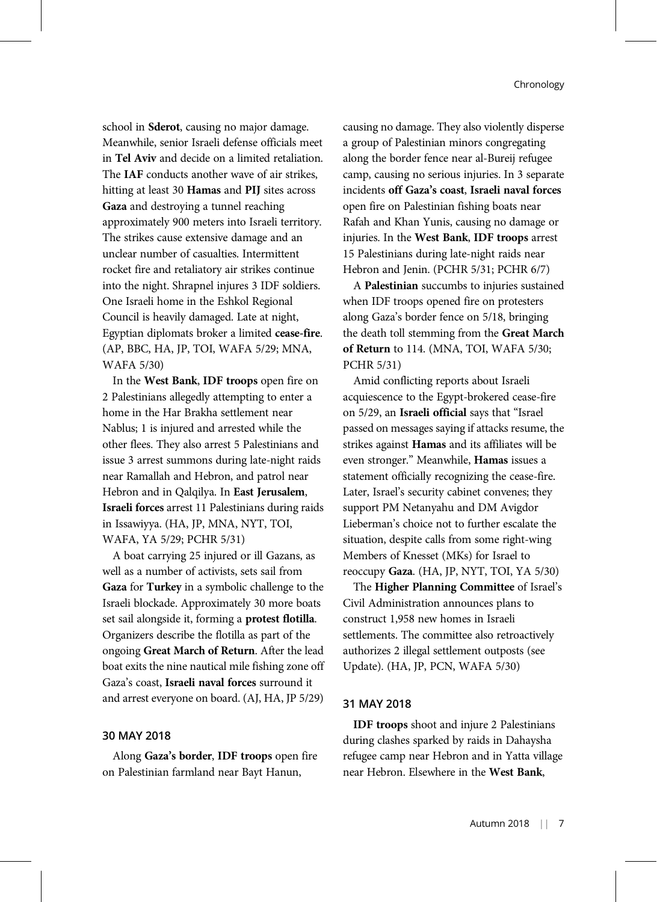school in Sderot, causing no major damage. Meanwhile, senior Israeli defense officials meet in Tel Aviv and decide on a limited retaliation. The IAF conducts another wave of air strikes, hitting at least 30 Hamas and PIJ sites across Gaza and destroying a tunnel reaching approximately 900 meters into Israeli territory. The strikes cause extensive damage and an unclear number of casualties. Intermittent rocket fire and retaliatory air strikes continue into the night. Shrapnel injures 3 IDF soldiers. One Israeli home in the Eshkol Regional Council is heavily damaged. Late at night, Egyptian diplomats broker a limited cease-fire. (AP, BBC, HA, JP, TOI, WAFA 5/29; MNA, WAFA 5/30)

In the West Bank, IDF troops open fire on 2 Palestinians allegedly attempting to enter a home in the Har Brakha settlement near Nablus; 1 is injured and arrested while the other flees. They also arrest 5 Palestinians and issue 3 arrest summons during late-night raids near Ramallah and Hebron, and patrol near Hebron and in Qalqilya. In East Jerusalem, Israeli forces arrest 11 Palestinians during raids in Issawiyya. (HA, JP, MNA, NYT, TOI, WAFA, YA 5/29; PCHR 5/31)

A boat carrying 25 injured or ill Gazans, as well as a number of activists, sets sail from Gaza for Turkey in a symbolic challenge to the Israeli blockade. Approximately 30 more boats set sail alongside it, forming a protest flotilla. Organizers describe the flotilla as part of the ongoing Great March of Return. After the lead boat exits the nine nautical mile fishing zone off Gaza's coast, Israeli naval forces surround it and arrest everyone on board. (AJ, HA, JP 5/29)

#### 30 MAY 2018

Along Gaza's border, IDF troops open fire on Palestinian farmland near Bayt Hanun,

causing no damage. They also violently disperse a group of Palestinian minors congregating along the border fence near al-Bureij refugee camp, causing no serious injuries. In 3 separate incidents off Gaza's coast, Israeli naval forces open fire on Palestinian fishing boats near Rafah and Khan Yunis, causing no damage or injuries. In the West Bank, IDF troops arrest 15 Palestinians during late-night raids near Hebron and Jenin. (PCHR 5/31; PCHR 6/7)

A Palestinian succumbs to injuries sustained when IDF troops opened fire on protesters along Gaza's border fence on 5/18, bringing the death toll stemming from the Great March of Return to 114. (MNA, TOI, WAFA 5/30; PCHR 5/31)

Amid conflicting reports about Israeli acquiescence to the Egypt-brokered cease-fire on 5/29, an Israeli official says that "Israel passed on messages saying if attacks resume, the strikes against Hamas and its affiliates will be even stronger." Meanwhile, Hamas issues a statement officially recognizing the cease-fire. Later, Israel's security cabinet convenes; they support PM Netanyahu and DM Avigdor Lieberman's choice not to further escalate the situation, despite calls from some right-wing Members of Knesset (MKs) for Israel to reoccupy Gaza. (HA, JP, NYT, TOI, YA 5/30)

The Higher Planning Committee of Israel's Civil Administration announces plans to construct 1,958 new homes in Israeli settlements. The committee also retroactively authorizes 2 illegal settlement outposts (see Update). (HA, JP, PCN, WAFA 5/30)

#### 31 MAY 2018

IDF troops shoot and injure 2 Palestinians during clashes sparked by raids in Dahaysha refugee camp near Hebron and in Yatta village near Hebron. Elsewhere in the West Bank,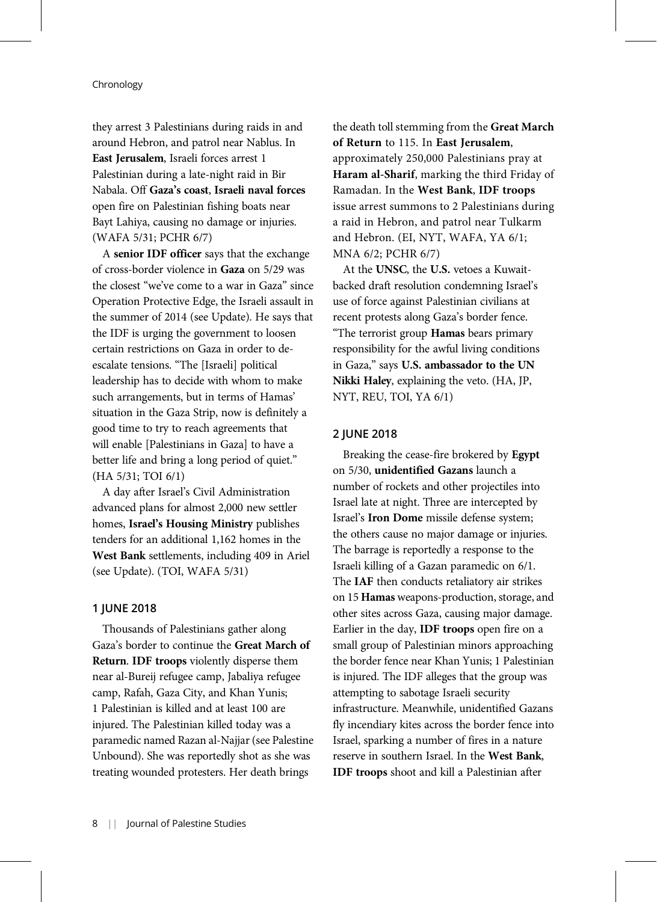they arrest 3 Palestinians during raids in and around Hebron, and patrol near Nablus. In East Jerusalem, Israeli forces arrest 1 Palestinian during a late-night raid in Bir Nabala. Off Gaza's coast, Israeli naval forces open fire on Palestinian fishing boats near Bayt Lahiya, causing no damage or injuries. (WAFA 5/31; PCHR 6/7)

A senior IDF officer says that the exchange of cross-border violence in Gaza on 5/29 was the closest "we've come to a war in Gaza" since Operation Protective Edge, the Israeli assault in the summer of 2014 (see Update). He says that the IDF is urging the government to loosen certain restrictions on Gaza in order to deescalate tensions. "The [Israeli] political leadership has to decide with whom to make such arrangements, but in terms of Hamas' situation in the Gaza Strip, now is definitely a good time to try to reach agreements that will enable [Palestinians in Gaza] to have a better life and bring a long period of quiet." (HA 5/31; TOI 6/1)

A day after Israel's Civil Administration advanced plans for almost 2,000 new settler homes, Israel's Housing Ministry publishes tenders for an additional 1,162 homes in the West Bank settlements, including 409 in Ariel (see Update). (TOI, WAFA 5/31)

#### 1 JUNE 2018

Thousands of Palestinians gather along Gaza's border to continue the Great March of Return. IDF troops violently disperse them near al-Bureij refugee camp, Jabaliya refugee camp, Rafah, Gaza City, and Khan Yunis; 1 Palestinian is killed and at least 100 are injured. The Palestinian killed today was a paramedic named Razan al-Najjar (see Palestine Unbound). She was reportedly shot as she was treating wounded protesters. Her death brings

the death toll stemming from the Great March of Return to 115. In East Jerusalem, approximately 250,000 Palestinians pray at Haram al-Sharif, marking the third Friday of Ramadan. In the West Bank, IDF troops issue arrest summons to 2 Palestinians during a raid in Hebron, and patrol near Tulkarm and Hebron. (EI, NYT, WAFA, YA 6/1; MNA 6/2; PCHR 6/7)

At the UNSC, the U.S. vetoes a Kuwaitbacked draft resolution condemning Israel's use of force against Palestinian civilians at recent protests along Gaza's border fence. "The terrorist group Hamas bears primary responsibility for the awful living conditions in Gaza," says U.S. ambassador to the UN Nikki Haley, explaining the veto. (HA, JP, NYT, REU, TOI, YA 6/1)

# 2 JUNE 2018

Breaking the cease-fire brokered by Egypt on 5/30, unidentified Gazans launch a number of rockets and other projectiles into Israel late at night. Three are intercepted by Israel's Iron Dome missile defense system; the others cause no major damage or injuries. The barrage is reportedly a response to the Israeli killing of a Gazan paramedic on 6/1. The IAF then conducts retaliatory air strikes on 15 Hamas weapons-production, storage, and other sites across Gaza, causing major damage. Earlier in the day, IDF troops open fire on a small group of Palestinian minors approaching the border fence near Khan Yunis; 1 Palestinian is injured. The IDF alleges that the group was attempting to sabotage Israeli security infrastructure. Meanwhile, unidentified Gazans fly incendiary kites across the border fence into Israel, sparking a number of fires in a nature reserve in southern Israel. In the West Bank, IDF troops shoot and kill a Palestinian after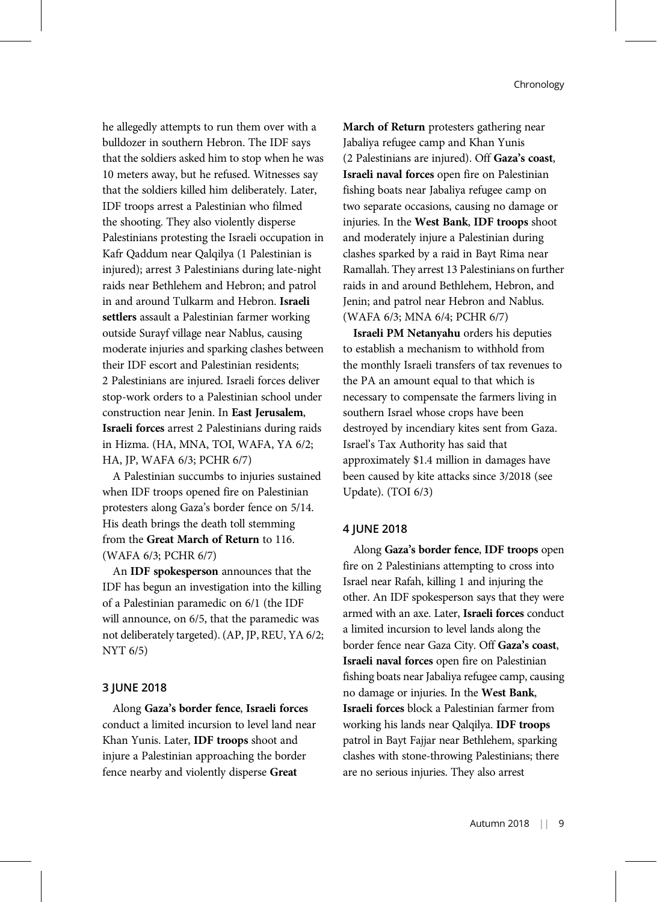he allegedly attempts to run them over with a bulldozer in southern Hebron. The IDF says that the soldiers asked him to stop when he was 10 meters away, but he refused. Witnesses say that the soldiers killed him deliberately. Later, IDF troops arrest a Palestinian who filmed the shooting. They also violently disperse Palestinians protesting the Israeli occupation in Kafr Qaddum near Qalqilya (1 Palestinian is injured); arrest 3 Palestinians during late-night raids near Bethlehem and Hebron; and patrol in and around Tulkarm and Hebron. Israeli settlers assault a Palestinian farmer working outside Surayf village near Nablus, causing moderate injuries and sparking clashes between their IDF escort and Palestinian residents; 2 Palestinians are injured. Israeli forces deliver stop-work orders to a Palestinian school under construction near Jenin. In East Jerusalem, Israeli forces arrest 2 Palestinians during raids in Hizma. (HA, MNA, TOI, WAFA, YA 6/2; HA, JP, WAFA 6/3; PCHR 6/7)

A Palestinian succumbs to injuries sustained when IDF troops opened fire on Palestinian protesters along Gaza's border fence on 5/14. His death brings the death toll stemming from the Great March of Return to 116. (WAFA 6/3; PCHR 6/7)

An IDF spokesperson announces that the IDF has begun an investigation into the killing of a Palestinian paramedic on 6/1 (the IDF will announce, on 6/5, that the paramedic was not deliberately targeted). (AP, JP, REU, YA 6/2; NYT 6/5)

#### 3 JUNE 2018

Along Gaza's border fence, Israeli forces conduct a limited incursion to level land near Khan Yunis. Later, IDF troops shoot and injure a Palestinian approaching the border fence nearby and violently disperse Great

March of Return protesters gathering near Jabaliya refugee camp and Khan Yunis (2 Palestinians are injured). Off Gaza's coast, Israeli naval forces open fire on Palestinian fishing boats near Jabaliya refugee camp on two separate occasions, causing no damage or injuries. In the West Bank, IDF troops shoot and moderately injure a Palestinian during clashes sparked by a raid in Bayt Rima near Ramallah. They arrest 13 Palestinians on further raids in and around Bethlehem, Hebron, and Jenin; and patrol near Hebron and Nablus. (WAFA 6/3; MNA 6/4; PCHR 6/7)

Israeli PM Netanyahu orders his deputies to establish a mechanism to withhold from the monthly Israeli transfers of tax revenues to the PA an amount equal to that which is necessary to compensate the farmers living in southern Israel whose crops have been destroyed by incendiary kites sent from Gaza. Israel's Tax Authority has said that approximately \$1.4 million in damages have been caused by kite attacks since 3/2018 (see Update). (TOI 6/3)

# 4 JUNE 2018

Along Gaza's border fence, IDF troops open fire on 2 Palestinians attempting to cross into Israel near Rafah, killing 1 and injuring the other. An IDF spokesperson says that they were armed with an axe. Later, Israeli forces conduct a limited incursion to level lands along the border fence near Gaza City. Off Gaza's coast, Israeli naval forces open fire on Palestinian fishing boats near Jabaliya refugee camp, causing no damage or injuries. In the West Bank, Israeli forces block a Palestinian farmer from working his lands near Qalqilya. IDF troops patrol in Bayt Fajjar near Bethlehem, sparking clashes with stone-throwing Palestinians; there are no serious injuries. They also arrest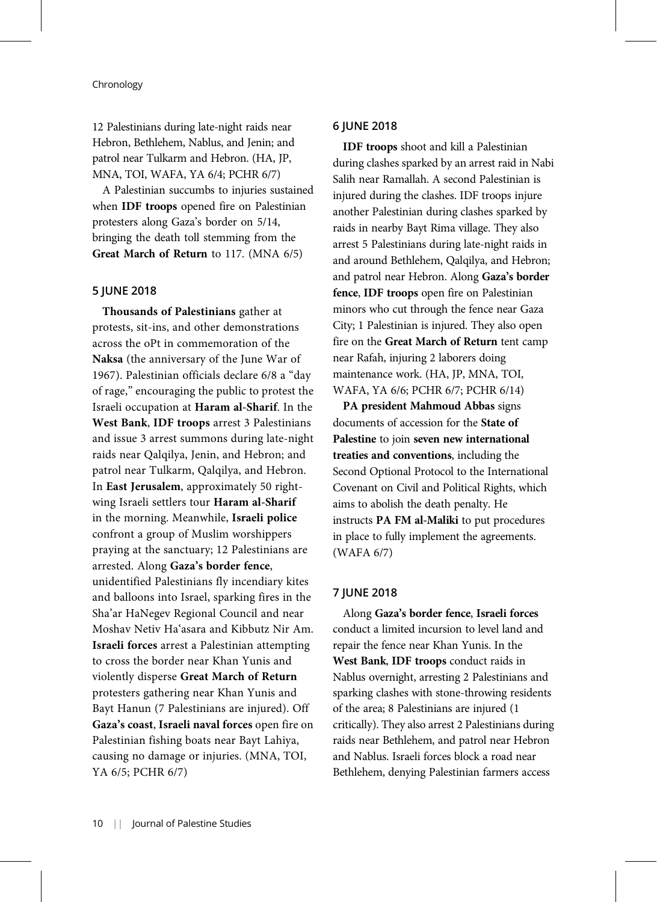12 Palestinians during late-night raids near Hebron, Bethlehem, Nablus, and Jenin; and patrol near Tulkarm and Hebron. (HA, JP, MNA, TOI, WAFA, YA 6/4; PCHR 6/7)

A Palestinian succumbs to injuries sustained when IDF troops opened fire on Palestinian protesters along Gaza's border on 5/14, bringing the death toll stemming from the Great March of Return to 117. (MNA 6/5)

## 5 JUNE 2018

Thousands of Palestinians gather at protests, sit-ins, and other demonstrations across the oPt in commemoration of the Naksa (the anniversary of the June War of 1967). Palestinian officials declare 6/8 a "day of rage," encouraging the public to protest the Israeli occupation at Haram al-Sharif. In the West Bank, IDF troops arrest 3 Palestinians and issue 3 arrest summons during late-night raids near Qalqilya, Jenin, and Hebron; and patrol near Tulkarm, Qalqilya, and Hebron. In East Jerusalem, approximately 50 rightwing Israeli settlers tour Haram al-Sharif in the morning. Meanwhile, Israeli police confront a group of Muslim worshippers praying at the sanctuary; 12 Palestinians are arrested. Along Gaza's border fence, unidentified Palestinians fly incendiary kites and balloons into Israel, sparking fires in the Sha'ar HaNegev Regional Council and near Moshav Netiv Ha'asara and Kibbutz Nir Am. Israeli forces arrest a Palestinian attempting to cross the border near Khan Yunis and violently disperse Great March of Return protesters gathering near Khan Yunis and Bayt Hanun (7 Palestinians are injured). Off Gaza's coast, Israeli naval forces open fire on Palestinian fishing boats near Bayt Lahiya, causing no damage or injuries. (MNA, TOI, YA 6/5; PCHR 6/7)

# 6 JUNE 2018

IDF troops shoot and kill a Palestinian during clashes sparked by an arrest raid in Nabi Salih near Ramallah. A second Palestinian is injured during the clashes. IDF troops injure another Palestinian during clashes sparked by raids in nearby Bayt Rima village. They also arrest 5 Palestinians during late-night raids in and around Bethlehem, Qalqilya, and Hebron; and patrol near Hebron. Along Gaza's border fence, IDF troops open fire on Palestinian minors who cut through the fence near Gaza City; 1 Palestinian is injured. They also open fire on the Great March of Return tent camp near Rafah, injuring 2 laborers doing maintenance work. (HA, JP, MNA, TOI, WAFA, YA 6/6; PCHR 6/7; PCHR 6/14)

PA president Mahmoud Abbas signs documents of accession for the State of Palestine to join seven new international treaties and conventions, including the Second Optional Protocol to the International Covenant on Civil and Political Rights, which aims to abolish the death penalty. He instructs PA FM al-Maliki to put procedures in place to fully implement the agreements. (WAFA 6/7)

# 7 JUNE 2018

Along Gaza's border fence, Israeli forces conduct a limited incursion to level land and repair the fence near Khan Yunis. In the West Bank, IDF troops conduct raids in Nablus overnight, arresting 2 Palestinians and sparking clashes with stone-throwing residents of the area; 8 Palestinians are injured (1 critically). They also arrest 2 Palestinians during raids near Bethlehem, and patrol near Hebron and Nablus. Israeli forces block a road near Bethlehem, denying Palestinian farmers access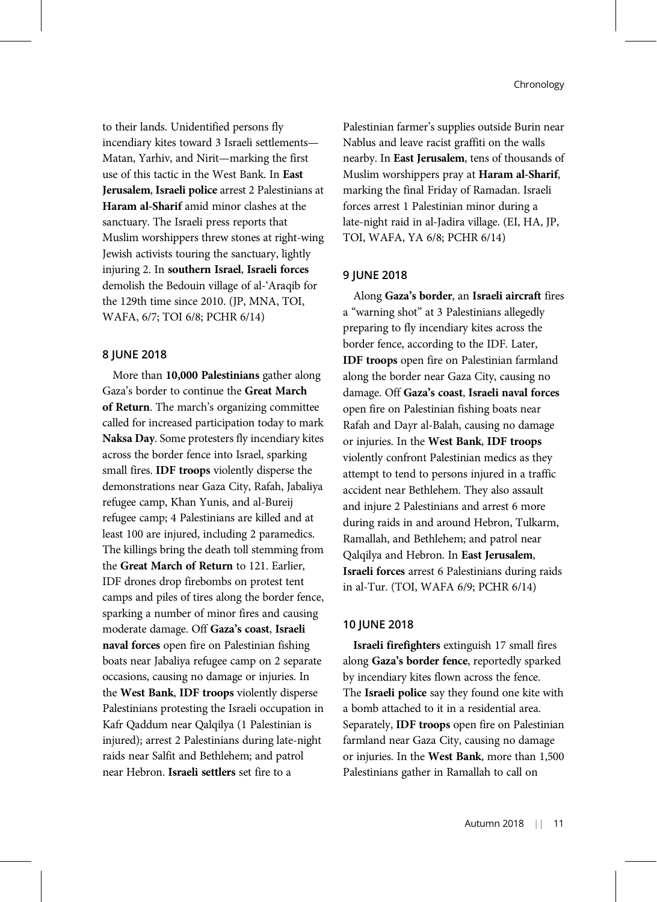to their lands. Unidentified persons fly incendiary kites toward 3 Israeli settlements— Matan, Yarhiv, and Nirit—marking the first use of this tactic in the West Bank. In East Jerusalem, Israeli police arrest 2 Palestinians at Haram al-Sharif amid minor clashes at the sanctuary. The Israeli press reports that Muslim worshippers threw stones at right-wing Jewish activists touring the sanctuary, lightly injuring 2. In southern Israel, Israeli forces demolish the Bedouin village of al-'Araqib for the 129th time since 2010. (JP, MNA, TOI, WAFA, 6/7; TOI 6/8; PCHR 6/14)

## 8 JUNE 2018

More than 10,000 Palestinians gather along Gaza's border to continue the Great March of Return. The march's organizing committee called for increased participation today to mark Naksa Day. Some protesters fly incendiary kites across the border fence into Israel, sparking small fires. IDF troops violently disperse the demonstrations near Gaza City, Rafah, Jabaliya refugee camp, Khan Yunis, and al-Bureij refugee camp; 4 Palestinians are killed and at least 100 are injured, including 2 paramedics. The killings bring the death toll stemming from the Great March of Return to 121. Earlier, IDF drones drop firebombs on protest tent camps and piles of tires along the border fence, sparking a number of minor fires and causing moderate damage. Off Gaza's coast, Israeli naval forces open fire on Palestinian fishing boats near Jabaliya refugee camp on 2 separate occasions, causing no damage or injuries. In the West Bank, IDF troops violently disperse Palestinians protesting the Israeli occupation in Kafr Qaddum near Qalqilya (1 Palestinian is injured); arrest 2 Palestinians during late-night raids near Salfit and Bethlehem; and patrol near Hebron. Israeli settlers set fire to a

Palestinian farmer's supplies outside Burin near Nablus and leave racist graffiti on the walls nearby. In East Jerusalem, tens of thousands of Muslim worshippers pray at Haram al-Sharif, marking the final Friday of Ramadan. Israeli forces arrest 1 Palestinian minor during a late-night raid in al-Jadira village. (EI, HA, JP, TOI, WAFA, YA 6/8; PCHR 6/14)

#### 9 JUNE 2018

Along Gaza's border, an Israeli aircraft fires a "warning shot" at 3 Palestinians allegedly preparing to fly incendiary kites across the border fence, according to the IDF. Later, IDF troops open fire on Palestinian farmland along the border near Gaza City, causing no damage. Off Gaza's coast, Israeli naval forces open fire on Palestinian fishing boats near Rafah and Dayr al-Balah, causing no damage or injuries. In the West Bank, IDF troops violently confront Palestinian medics as they attempt to tend to persons injured in a traffic accident near Bethlehem. They also assault and injure 2 Palestinians and arrest 6 more during raids in and around Hebron, Tulkarm, Ramallah, and Bethlehem; and patrol near Qalqilya and Hebron. In East Jerusalem, Israeli forces arrest 6 Palestinians during raids in al-Tur. (TOI, WAFA 6/9; PCHR 6/14)

# 10 JUNE 2018

Israeli firefighters extinguish 17 small fires along Gaza's border fence, reportedly sparked by incendiary kites flown across the fence. The Israeli police say they found one kite with a bomb attached to it in a residential area. Separately, **IDF troops** open fire on Palestinian farmland near Gaza City, causing no damage or injuries. In the West Bank, more than 1,500 Palestinians gather in Ramallah to call on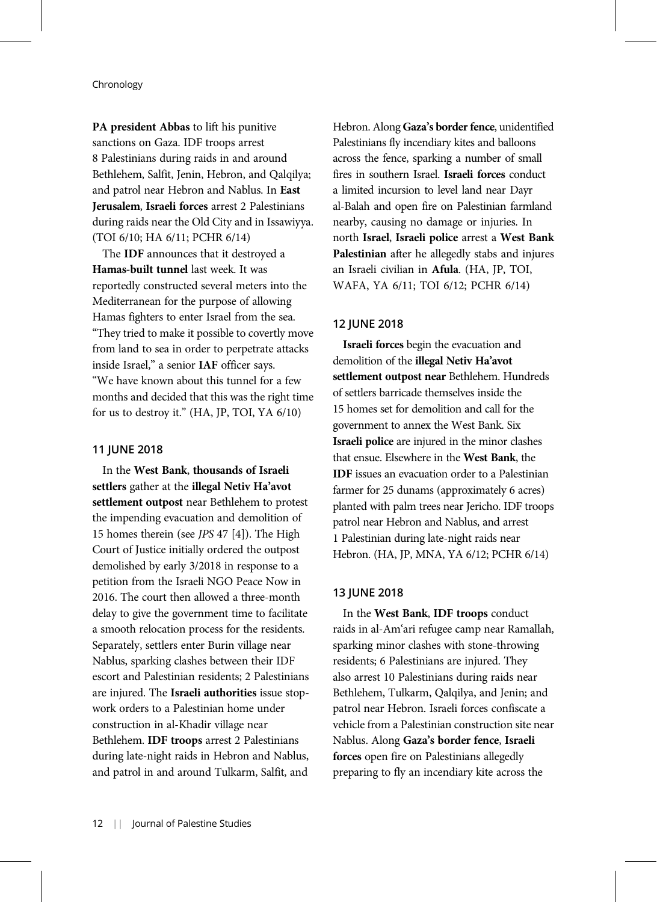PA president Abbas to lift his punitive sanctions on Gaza. IDF troops arrest 8 Palestinians during raids in and around Bethlehem, Salfit, Jenin, Hebron, and Qalqilya; and patrol near Hebron and Nablus. In East Jerusalem, Israeli forces arrest 2 Palestinians during raids near the Old City and in Issawiyya. (TOI 6/10; HA 6/11; PCHR 6/14)

The IDF announces that it destroyed a Hamas-built tunnel last week. It was reportedly constructed several meters into the Mediterranean for the purpose of allowing Hamas fighters to enter Israel from the sea. "They tried to make it possible to covertly move from land to sea in order to perpetrate attacks inside Israel," a senior IAF officer says. "We have known about this tunnel for a few months and decided that this was the right time for us to destroy it." (HA, JP, TOI, YA 6/10)

## 11 JUNE 2018

In the West Bank, thousands of Israeli settlers gather at the illegal Netiv Ha'avot settlement outpost near Bethlehem to protest the impending evacuation and demolition of 15 homes therein (see JPS 47 [4]). The High Court of Justice initially ordered the outpost demolished by early 3/2018 in response to a petition from the Israeli NGO Peace Now in 2016. The court then allowed a three-month delay to give the government time to facilitate a smooth relocation process for the residents. Separately, settlers enter Burin village near Nablus, sparking clashes between their IDF escort and Palestinian residents; 2 Palestinians are injured. The Israeli authorities issue stopwork orders to a Palestinian home under construction in al-Khadir village near Bethlehem. IDF troops arrest 2 Palestinians during late-night raids in Hebron and Nablus, and patrol in and around Tulkarm, Salfit, and

Hebron. Along Gaza's border fence, unidentified Palestinians fly incendiary kites and balloons across the fence, sparking a number of small fires in southern Israel. Israeli forces conduct a limited incursion to level land near Dayr al-Balah and open fire on Palestinian farmland nearby, causing no damage or injuries. In north Israel, Israeli police arrest a West Bank Palestinian after he allegedly stabs and injures an Israeli civilian in Afula. (HA, JP, TOI, WAFA, YA 6/11; TOI 6/12; PCHR 6/14)

#### 12 JUNE 2018

Israeli forces begin the evacuation and demolition of the illegal Netiv Ha'avot settlement outpost near Bethlehem. Hundreds of settlers barricade themselves inside the 15 homes set for demolition and call for the government to annex the West Bank. Six Israeli police are injured in the minor clashes that ensue. Elsewhere in the West Bank, the IDF issues an evacuation order to a Palestinian farmer for 25 dunams (approximately 6 acres) planted with palm trees near Jericho. IDF troops patrol near Hebron and Nablus, and arrest 1 Palestinian during late-night raids near Hebron. (HA, JP, MNA, YA 6/12; PCHR 6/14)

# 13 JUNE 2018

In the West Bank, IDF troops conduct raids in al-Am'ari refugee camp near Ramallah, sparking minor clashes with stone-throwing residents; 6 Palestinians are injured. They also arrest 10 Palestinians during raids near Bethlehem, Tulkarm, Qalqilya, and Jenin; and patrol near Hebron. Israeli forces confiscate a vehicle from a Palestinian construction site near Nablus. Along Gaza's border fence, Israeli forces open fire on Palestinians allegedly preparing to fly an incendiary kite across the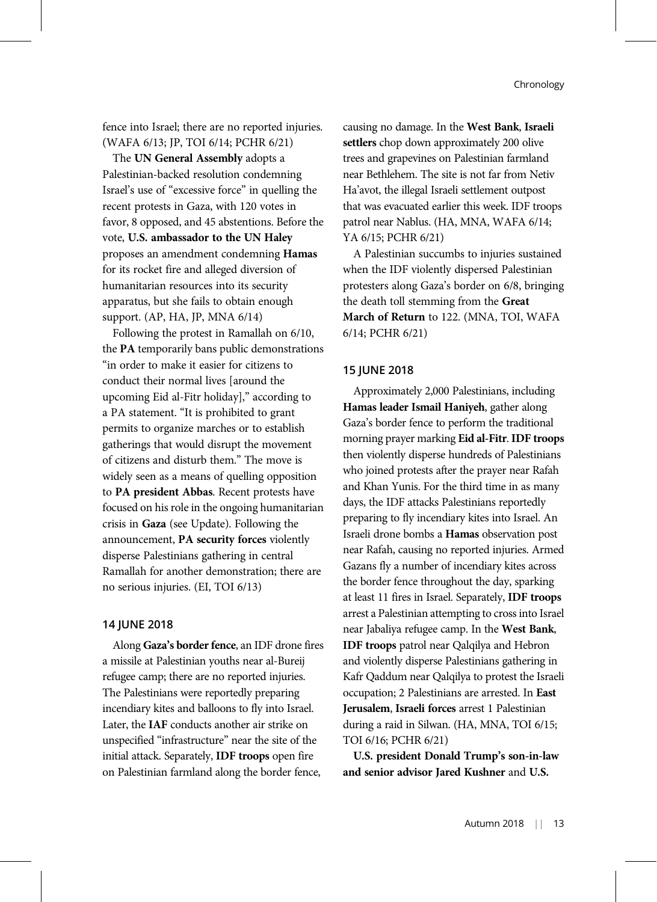fence into Israel; there are no reported injuries. (WAFA 6/13; JP, TOI 6/14; PCHR 6/21)

The UN General Assembly adopts a Palestinian-backed resolution condemning Israel's use of "excessive force" in quelling the recent protests in Gaza, with 120 votes in favor, 8 opposed, and 45 abstentions. Before the vote, U.S. ambassador to the UN Haley proposes an amendment condemning Hamas for its rocket fire and alleged diversion of humanitarian resources into its security apparatus, but she fails to obtain enough support. (AP, HA, JP, MNA 6/14)

Following the protest in Ramallah on 6/10, the PA temporarily bans public demonstrations "in order to make it easier for citizens to conduct their normal lives [around the upcoming Eid al-Fitr holiday]," according to a PA statement. "It is prohibited to grant permits to organize marches or to establish gatherings that would disrupt the movement of citizens and disturb them." The move is widely seen as a means of quelling opposition to PA president Abbas. Recent protests have focused on his role in the ongoing humanitarian crisis in Gaza (see Update). Following the announcement, PA security forces violently disperse Palestinians gathering in central Ramallah for another demonstration; there are no serious injuries. (EI, TOI 6/13)

# 14 JUNE 2018

Along Gaza's border fence, an IDF drone fires a missile at Palestinian youths near al-Bureij refugee camp; there are no reported injuries. The Palestinians were reportedly preparing incendiary kites and balloons to fly into Israel. Later, the IAF conducts another air strike on unspecified "infrastructure" near the site of the initial attack. Separately, IDF troops open fire on Palestinian farmland along the border fence,

causing no damage. In the West Bank, Israeli settlers chop down approximately 200 olive trees and grapevines on Palestinian farmland near Bethlehem. The site is not far from Netiv Ha'avot, the illegal Israeli settlement outpost that was evacuated earlier this week. IDF troops patrol near Nablus. (HA, MNA, WAFA 6/14; YA 6/15; PCHR 6/21)

A Palestinian succumbs to injuries sustained when the IDF violently dispersed Palestinian protesters along Gaza's border on 6/8, bringing the death toll stemming from the Great March of Return to 122. (MNA, TOI, WAFA 6/14; PCHR 6/21)

# 15 JUNE 2018

Approximately 2,000 Palestinians, including Hamas leader Ismail Haniyeh, gather along Gaza's border fence to perform the traditional morning prayer marking Eid al-Fitr. IDF troops then violently disperse hundreds of Palestinians who joined protests after the prayer near Rafah and Khan Yunis. For the third time in as many days, the IDF attacks Palestinians reportedly preparing to fly incendiary kites into Israel. An Israeli drone bombs a Hamas observation post near Rafah, causing no reported injuries. Armed Gazans fly a number of incendiary kites across the border fence throughout the day, sparking at least 11 fires in Israel. Separately, IDF troops arrest a Palestinian attempting to cross into Israel near Jabaliya refugee camp. In the West Bank, IDF troops patrol near Qalqilya and Hebron and violently disperse Palestinians gathering in Kafr Qaddum near Qalqilya to protest the Israeli occupation; 2 Palestinians are arrested. In East Jerusalem, Israeli forces arrest 1 Palestinian during a raid in Silwan. (HA, MNA, TOI 6/15; TOI 6/16; PCHR 6/21)

U.S. president Donald Trump's son-in-law and senior advisor Jared Kushner and U.S.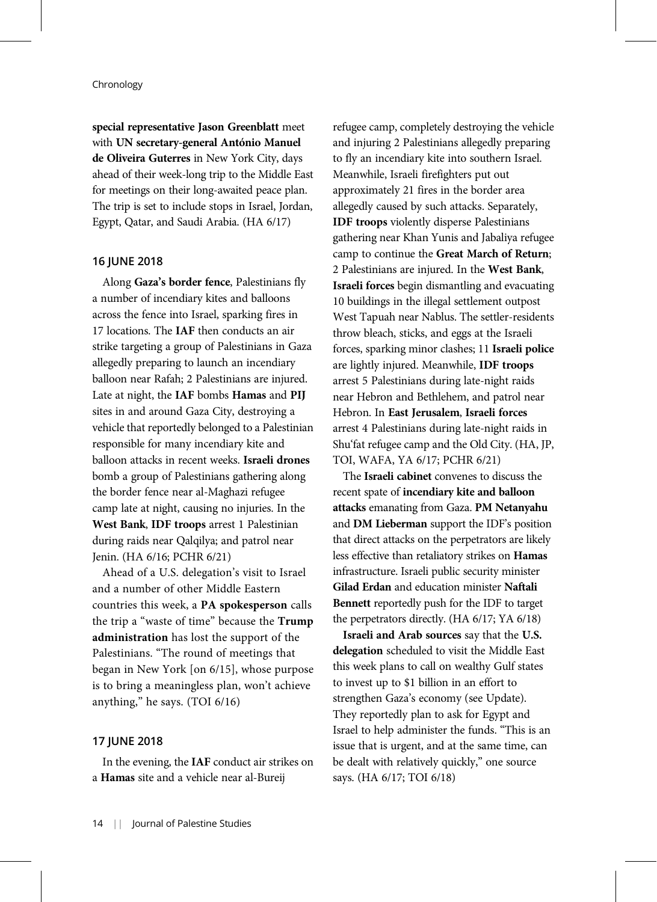special representative Jason Greenblatt meet with UN secretary-general António Manuel de Oliveira Guterres in New York City, days ahead of their week-long trip to the Middle East for meetings on their long-awaited peace plan. The trip is set to include stops in Israel, Jordan, Egypt, Qatar, and Saudi Arabia. (HA 6/17)

#### 16 JUNE 2018

Along Gaza's border fence, Palestinians fly a number of incendiary kites and balloons across the fence into Israel, sparking fires in 17 locations. The IAF then conducts an air strike targeting a group of Palestinians in Gaza allegedly preparing to launch an incendiary balloon near Rafah; 2 Palestinians are injured. Late at night, the IAF bombs Hamas and PIJ sites in and around Gaza City, destroying a vehicle that reportedly belonged to a Palestinian responsible for many incendiary kite and balloon attacks in recent weeks. Israeli drones bomb a group of Palestinians gathering along the border fence near al-Maghazi refugee camp late at night, causing no injuries. In the West Bank, IDF troops arrest 1 Palestinian during raids near Qalqilya; and patrol near Jenin. (HA 6/16; PCHR 6/21)

Ahead of a U.S. delegation's visit to Israel and a number of other Middle Eastern countries this week, a PA spokesperson calls the trip a "waste of time" because the Trump administration has lost the support of the Palestinians. "The round of meetings that began in New York [on 6/15], whose purpose is to bring a meaningless plan, won't achieve anything," he says. (TOI 6/16)

#### 17 JUNE 2018

In the evening, the IAF conduct air strikes on a Hamas site and a vehicle near al-Bureij

refugee camp, completely destroying the vehicle and injuring 2 Palestinians allegedly preparing to fly an incendiary kite into southern Israel. Meanwhile, Israeli firefighters put out approximately 21 fires in the border area allegedly caused by such attacks. Separately, IDF troops violently disperse Palestinians gathering near Khan Yunis and Jabaliya refugee camp to continue the Great March of Return; 2 Palestinians are injured. In the West Bank, Israeli forces begin dismantling and evacuating 10 buildings in the illegal settlement outpost West Tapuah near Nablus. The settler-residents throw bleach, sticks, and eggs at the Israeli forces, sparking minor clashes; 11 Israeli police are lightly injured. Meanwhile, IDF troops arrest 5 Palestinians during late-night raids near Hebron and Bethlehem, and patrol near Hebron. In East Jerusalem, Israeli forces arrest 4 Palestinians during late-night raids in Shu'fat refugee camp and the Old City. (HA, JP, TOI, WAFA, YA 6/17; PCHR 6/21)

The Israeli cabinet convenes to discuss the recent spate of incendiary kite and balloon attacks emanating from Gaza. PM Netanyahu and DM Lieberman support the IDF's position that direct attacks on the perpetrators are likely less effective than retaliatory strikes on Hamas infrastructure. Israeli public security minister Gilad Erdan and education minister Naftali Bennett reportedly push for the IDF to target the perpetrators directly. (HA 6/17; YA 6/18)

Israeli and Arab sources say that the U.S. delegation scheduled to visit the Middle East this week plans to call on wealthy Gulf states to invest up to \$1 billion in an effort to strengthen Gaza's economy (see Update). They reportedly plan to ask for Egypt and Israel to help administer the funds. "This is an issue that is urgent, and at the same time, can be dealt with relatively quickly," one source says. (HA 6/17; TOI 6/18)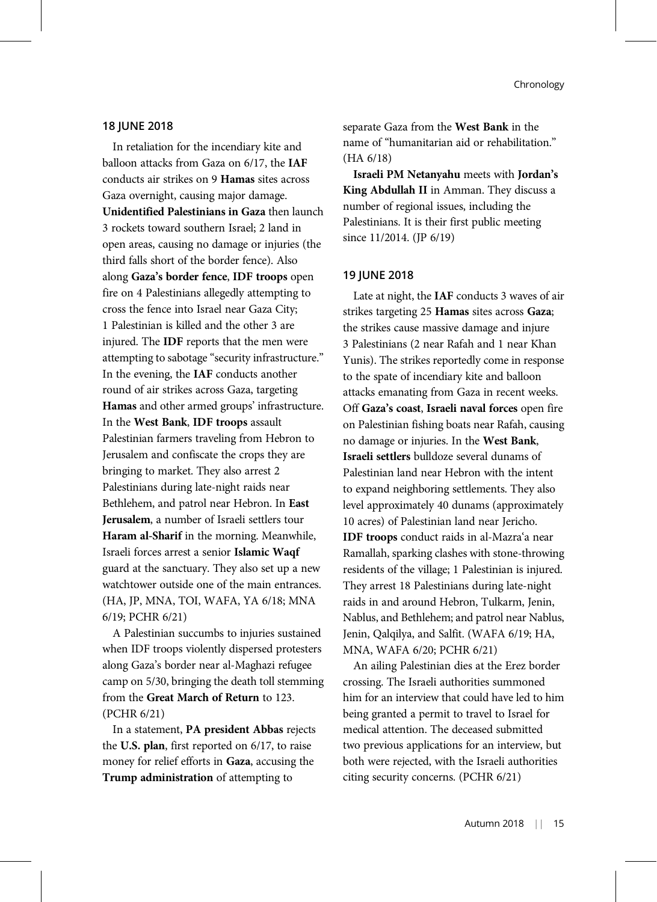#### 18 JUNE 2018

In retaliation for the incendiary kite and balloon attacks from Gaza on 6/17, the IAF conducts air strikes on 9 Hamas sites across Gaza overnight, causing major damage. Unidentified Palestinians in Gaza then launch 3 rockets toward southern Israel; 2 land in open areas, causing no damage or injuries (the third falls short of the border fence). Also along Gaza's border fence, IDF troops open fire on 4 Palestinians allegedly attempting to cross the fence into Israel near Gaza City; 1 Palestinian is killed and the other 3 are injured. The IDF reports that the men were attempting to sabotage "security infrastructure." In the evening, the IAF conducts another round of air strikes across Gaza, targeting Hamas and other armed groups' infrastructure. In the West Bank, IDF troops assault Palestinian farmers traveling from Hebron to Jerusalem and confiscate the crops they are bringing to market. They also arrest 2 Palestinians during late-night raids near Bethlehem, and patrol near Hebron. In East Jerusalem, a number of Israeli settlers tour Haram al-Sharif in the morning. Meanwhile, Israeli forces arrest a senior Islamic Waqf guard at the sanctuary. They also set up a new watchtower outside one of the main entrances. (HA, JP, MNA, TOI, WAFA, YA 6/18; MNA 6/19; PCHR 6/21)

A Palestinian succumbs to injuries sustained when IDF troops violently dispersed protesters along Gaza's border near al-Maghazi refugee camp on 5/30, bringing the death toll stemming from the Great March of Return to 123. (PCHR 6/21)

In a statement, PA president Abbas rejects the U.S. plan, first reported on 6/17, to raise money for relief efforts in Gaza, accusing the Trump administration of attempting to

separate Gaza from the West Bank in the name of "humanitarian aid or rehabilitation." (HA 6/18)

Israeli PM Netanyahu meets with Jordan's King Abdullah II in Amman. They discuss a number of regional issues, including the Palestinians. It is their first public meeting since 11/2014. (JP 6/19)

#### 19 JUNE 2018

Late at night, the IAF conducts 3 waves of air strikes targeting 25 Hamas sites across Gaza; the strikes cause massive damage and injure 3 Palestinians (2 near Rafah and 1 near Khan Yunis). The strikes reportedly come in response to the spate of incendiary kite and balloon attacks emanating from Gaza in recent weeks. Off Gaza's coast, Israeli naval forces open fire on Palestinian fishing boats near Rafah, causing no damage or injuries. In the West Bank, Israeli settlers bulldoze several dunams of Palestinian land near Hebron with the intent to expand neighboring settlements. They also level approximately 40 dunams (approximately 10 acres) of Palestinian land near Jericho. IDF troops conduct raids in al-Mazra'a near Ramallah, sparking clashes with stone-throwing residents of the village; 1 Palestinian is injured. They arrest 18 Palestinians during late-night raids in and around Hebron, Tulkarm, Jenin, Nablus, and Bethlehem; and patrol near Nablus, Jenin, Qalqilya, and Salfit. (WAFA 6/19; HA, MNA, WAFA 6/20; PCHR 6/21)

An ailing Palestinian dies at the Erez border crossing. The Israeli authorities summoned him for an interview that could have led to him being granted a permit to travel to Israel for medical attention. The deceased submitted two previous applications for an interview, but both were rejected, with the Israeli authorities citing security concerns. (PCHR 6/21)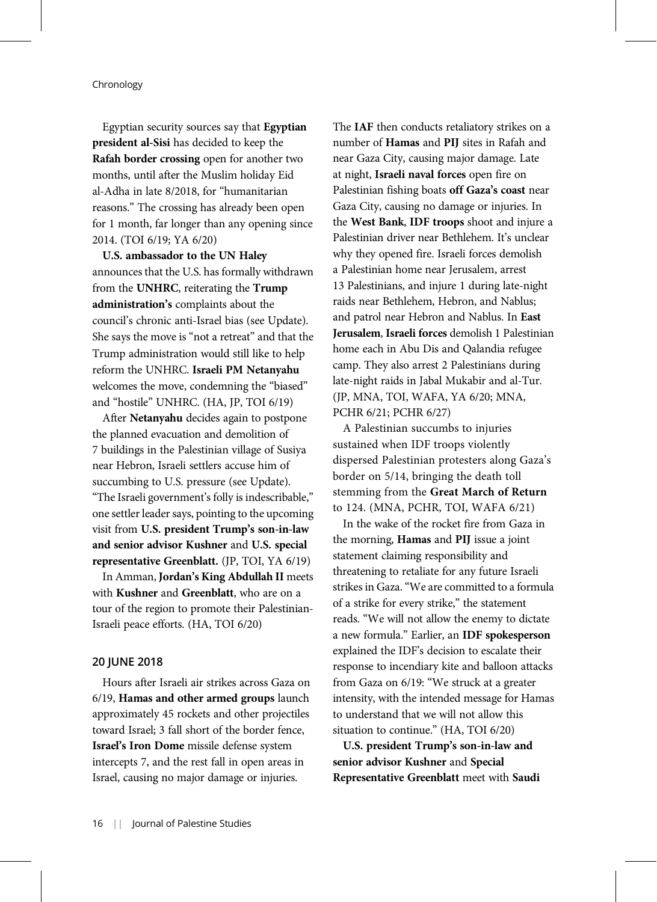Egyptian security sources say that Egyptian president al-Sisi has decided to keep the Rafah border crossing open for another two months, until after the Muslim holiday Eid al-Adha in late 8/2018, for "humanitarian reasons." The crossing has already been open for 1 month, far longer than any opening since 2014. (TOI 6/19; YA 6/20)

U.S. ambassador to the UN Haley announces that the U.S. has formally withdrawn from the UNHRC, reiterating the Trump administration's complaints about the council's chronic anti-Israel bias (see Update). She says the move is "not a retreat" and that the Trump administration would still like to help reform the UNHRC. Israeli PM Netanyahu welcomes the move, condemning the "biased" and "hostile" UNHRC. (HA, JP, TOI 6/19)

After Netanyahu decides again to postpone the planned evacuation and demolition of 7 buildings in the Palestinian village of Susiya near Hebron, Israeli settlers accuse him of succumbing to U.S. pressure (see Update). "The Israeli government's folly is indescribable," one settler leader says, pointing to the upcoming visit from U.S. president Trump's son-in-law and senior advisor Kushner and U.S. special representative Greenblatt. (JP, TOI, YA 6/19)

In Amman, Jordan's King Abdullah II meets with Kushner and Greenblatt, who are on a tour of the region to promote their Palestinian-Israeli peace efforts. (HA, TOI 6/20)

# 20 JUNE 2018

Hours after Israeli air strikes across Gaza on 6/19, Hamas and other armed groups launch approximately 45 rockets and other projectiles toward Israel; 3 fall short of the border fence, Israel's Iron Dome missile defense system intercepts 7, and the rest fall in open areas in Israel, causing no major damage or injuries.

The IAF then conducts retaliatory strikes on a number of Hamas and PIJ sites in Rafah and near Gaza City, causing major damage. Late at night, Israeli naval forces open fire on Palestinian fishing boats off Gaza's coast near Gaza City, causing no damage or injuries. In the West Bank, IDF troops shoot and injure a Palestinian driver near Bethlehem. It's unclear why they opened fire. Israeli forces demolish a Palestinian home near Jerusalem, arrest 13 Palestinians, and injure 1 during late-night raids near Bethlehem, Hebron, and Nablus; and patrol near Hebron and Nablus. In East Jerusalem, Israeli forces demolish 1 Palestinian home each in Abu Dis and Qalandia refugee camp. They also arrest 2 Palestinians during late-night raids in Jabal Mukabir and al-Tur. (JP, MNA, TOI, WAFA, YA 6/20; MNA, PCHR 6/21; PCHR 6/27)

A Palestinian succumbs to injuries sustained when IDF troops violently dispersed Palestinian protesters along Gaza's border on 5/14, bringing the death toll stemming from the Great March of Return to 124. (MNA, PCHR, TOI, WAFA 6/21)

In the wake of the rocket fire from Gaza in the morning, Hamas and PIJ issue a joint statement claiming responsibility and threatening to retaliate for any future Israeli strikes in Gaza."We are committed to a formula of a strike for every strike," the statement reads. "We will not allow the enemy to dictate a new formula." Earlier, an IDF spokesperson explained the IDF's decision to escalate their response to incendiary kite and balloon attacks from Gaza on 6/19: "We struck at a greater intensity, with the intended message for Hamas to understand that we will not allow this situation to continue." (HA, TOI 6/20)

U.S. president Trump's son-in-law and senior advisor Kushner and Special Representative Greenblatt meet with Saudi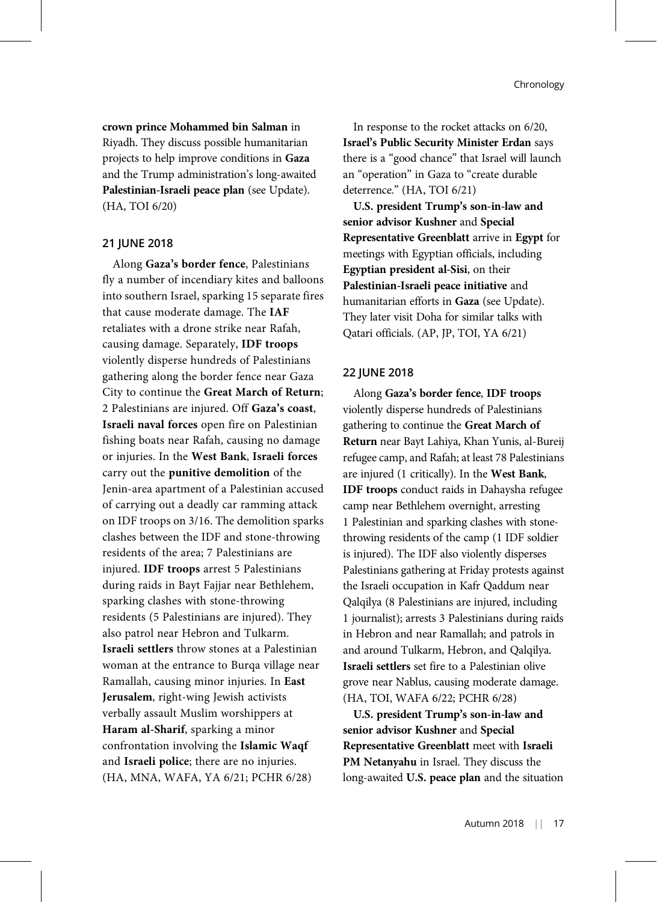crown prince Mohammed bin Salman in Riyadh. They discuss possible humanitarian projects to help improve conditions in Gaza and the Trump administration's long-awaited Palestinian-Israeli peace plan (see Update). (HA, TOI 6/20)

#### 21 JUNE 2018

Along Gaza's border fence, Palestinians fly a number of incendiary kites and balloons into southern Israel, sparking 15 separate fires that cause moderate damage. The IAF retaliates with a drone strike near Rafah, causing damage. Separately, IDF troops violently disperse hundreds of Palestinians gathering along the border fence near Gaza City to continue the Great March of Return; 2 Palestinians are injured. Off Gaza's coast, Israeli naval forces open fire on Palestinian fishing boats near Rafah, causing no damage or injuries. In the West Bank, Israeli forces carry out the punitive demolition of the Jenin-area apartment of a Palestinian accused of carrying out a deadly car ramming attack on IDF troops on 3/16. The demolition sparks clashes between the IDF and stone-throwing residents of the area; 7 Palestinians are injured. IDF troops arrest 5 Palestinians during raids in Bayt Fajjar near Bethlehem, sparking clashes with stone-throwing residents (5 Palestinians are injured). They also patrol near Hebron and Tulkarm. Israeli settlers throw stones at a Palestinian woman at the entrance to Burqa village near Ramallah, causing minor injuries. In East Jerusalem, right-wing Jewish activists verbally assault Muslim worshippers at Haram al-Sharif, sparking a minor confrontation involving the Islamic Waqf and Israeli police; there are no injuries. (HA, MNA, WAFA, YA 6/21; PCHR 6/28)

In response to the rocket attacks on 6/20, Israel's Public Security Minister Erdan says there is a "good chance" that Israel will launch an "operation" in Gaza to "create durable deterrence." (HA, TOI 6/21)

U.S. president Trump's son-in-law and senior advisor Kushner and Special Representative Greenblatt arrive in Egypt for meetings with Egyptian officials, including Egyptian president al-Sisi, on their Palestinian-Israeli peace initiative and humanitarian efforts in Gaza (see Update). They later visit Doha for similar talks with Qatari officials. (AP, JP, TOI, YA 6/21)

# 22 JUNE 2018

Along Gaza's border fence, IDF troops violently disperse hundreds of Palestinians gathering to continue the Great March of Return near Bayt Lahiya, Khan Yunis, al-Bureij refugee camp, and Rafah; at least 78 Palestinians are injured (1 critically). In the West Bank, IDF troops conduct raids in Dahaysha refugee camp near Bethlehem overnight, arresting 1 Palestinian and sparking clashes with stonethrowing residents of the camp (1 IDF soldier is injured). The IDF also violently disperses Palestinians gathering at Friday protests against the Israeli occupation in Kafr Qaddum near Qalqilya (8 Palestinians are injured, including 1 journalist); arrests 3 Palestinians during raids in Hebron and near Ramallah; and patrols in and around Tulkarm, Hebron, and Qalqilya. Israeli settlers set fire to a Palestinian olive grove near Nablus, causing moderate damage. (HA, TOI, WAFA 6/22; PCHR 6/28)

U.S. president Trump's son-in-law and senior advisor Kushner and Special Representative Greenblatt meet with Israeli PM Netanyahu in Israel. They discuss the long-awaited U.S. peace plan and the situation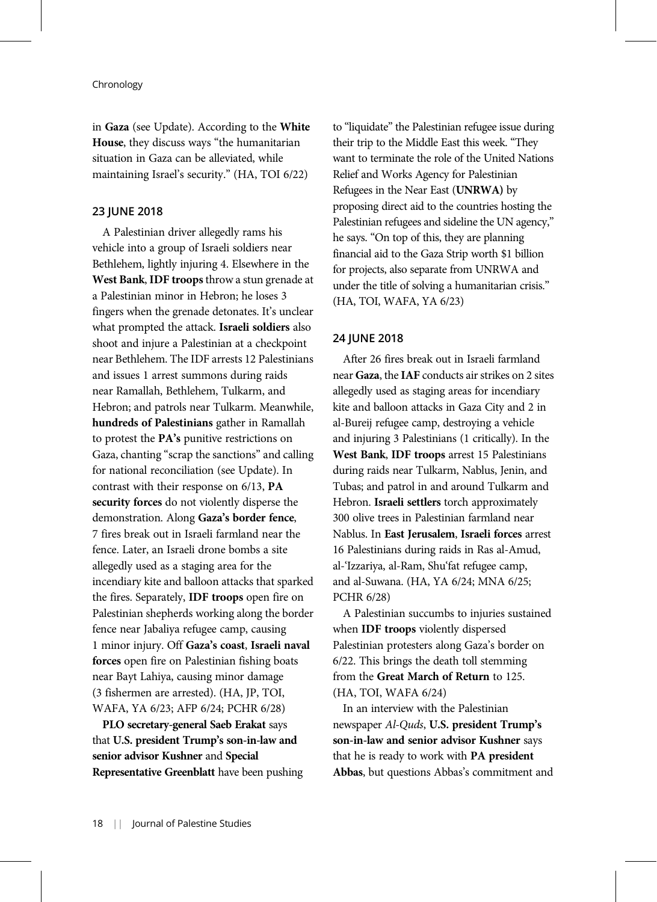in Gaza (see Update). According to the White House, they discuss ways "the humanitarian situation in Gaza can be alleviated, while maintaining Israel's security." (HA, TOI 6/22)

## 23 JUNE 2018

A Palestinian driver allegedly rams his vehicle into a group of Israeli soldiers near Bethlehem, lightly injuring 4. Elsewhere in the West Bank, IDF troops throw a stun grenade at a Palestinian minor in Hebron; he loses 3 fingers when the grenade detonates. It's unclear what prompted the attack. Israeli soldiers also shoot and injure a Palestinian at a checkpoint near Bethlehem. The IDF arrests 12 Palestinians and issues 1 arrest summons during raids near Ramallah, Bethlehem, Tulkarm, and Hebron; and patrols near Tulkarm. Meanwhile, hundreds of Palestinians gather in Ramallah to protest the PA's punitive restrictions on Gaza, chanting "scrap the sanctions" and calling for national reconciliation (see Update). In contrast with their response on 6/13, PA security forces do not violently disperse the demonstration. Along Gaza's border fence, 7 fires break out in Israeli farmland near the fence. Later, an Israeli drone bombs a site allegedly used as a staging area for the incendiary kite and balloon attacks that sparked the fires. Separately, IDF troops open fire on Palestinian shepherds working along the border fence near Jabaliya refugee camp, causing 1 minor injury. Off Gaza's coast, Israeli naval forces open fire on Palestinian fishing boats near Bayt Lahiya, causing minor damage (3 fishermen are arrested). (HA, JP, TOI, WAFA, YA 6/23; AFP 6/24; PCHR 6/28)

PLO secretary-general Saeb Erakat says that U.S. president Trump's son-in-law and senior advisor Kushner and Special Representative Greenblatt have been pushing to "liquidate" the Palestinian refugee issue during their trip to the Middle East this week. "They want to terminate the role of the United Nations Relief and Works Agency for Palestinian Refugees in the Near East (UNRWA) by proposing direct aid to the countries hosting the Palestinian refugees and sideline the UN agency," he says. "On top of this, they are planning financial aid to the Gaza Strip worth \$1 billion for projects, also separate from UNRWA and under the title of solving a humanitarian crisis." (HA, TOI, WAFA, YA 6/23)

# 24 JUNE 2018

After 26 fires break out in Israeli farmland near Gaza, the IAF conducts air strikes on 2 sites allegedly used as staging areas for incendiary kite and balloon attacks in Gaza City and 2 in al-Bureij refugee camp, destroying a vehicle and injuring 3 Palestinians (1 critically). In the West Bank, IDF troops arrest 15 Palestinians during raids near Tulkarm, Nablus, Jenin, and Tubas; and patrol in and around Tulkarm and Hebron. Israeli settlers torch approximately 300 olive trees in Palestinian farmland near Nablus. In East Jerusalem, Israeli forces arrest 16 Palestinians during raids in Ras al-Amud, al-'Izzariya, al-Ram, Shu'fat refugee camp, and al-Suwana. (HA, YA 6/24; MNA 6/25; PCHR 6/28)

A Palestinian succumbs to injuries sustained when IDF troops violently dispersed Palestinian protesters along Gaza's border on 6/22. This brings the death toll stemming from the Great March of Return to 125. (HA, TOI, WAFA 6/24)

In an interview with the Palestinian newspaper Al-Quds, U.S. president Trump's son-in-law and senior advisor Kushner says that he is ready to work with PA president Abbas, but questions Abbas's commitment and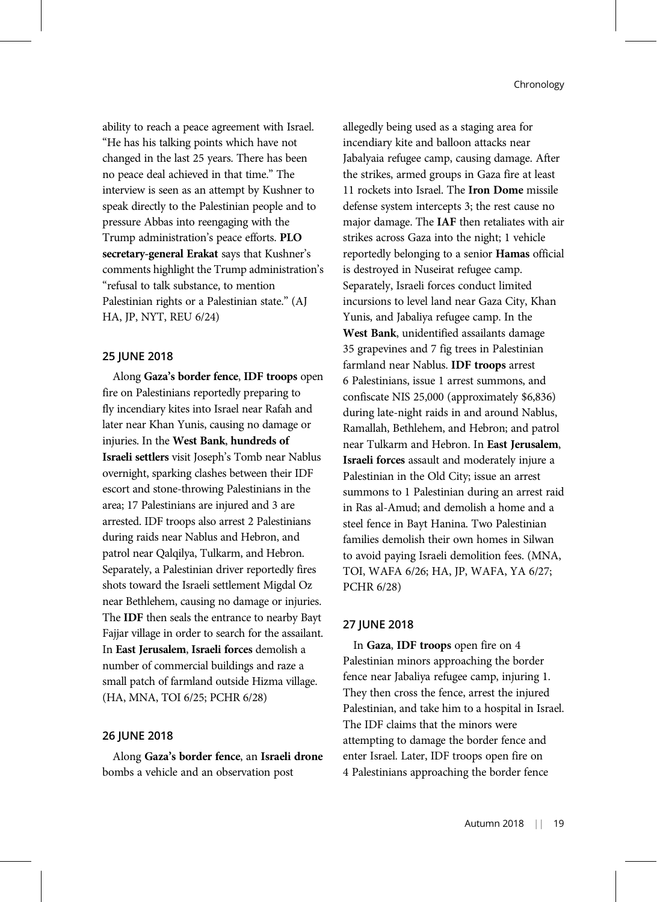ability to reach a peace agreement with Israel. "He has his talking points which have not changed in the last 25 years. There has been no peace deal achieved in that time." The interview is seen as an attempt by Kushner to speak directly to the Palestinian people and to pressure Abbas into reengaging with the Trump administration's peace efforts. PLO secretary-general Erakat says that Kushner's comments highlight the Trump administration's "refusal to talk substance, to mention Palestinian rights or a Palestinian state." (AJ HA, JP, NYT, REU 6/24)

# 25 JUNE 2018

Along Gaza's border fence, IDF troops open fire on Palestinians reportedly preparing to fly incendiary kites into Israel near Rafah and later near Khan Yunis, causing no damage or injuries. In the West Bank, hundreds of Israeli settlers visit Joseph's Tomb near Nablus overnight, sparking clashes between their IDF escort and stone-throwing Palestinians in the area; 17 Palestinians are injured and 3 are arrested. IDF troops also arrest 2 Palestinians during raids near Nablus and Hebron, and patrol near Qalqilya, Tulkarm, and Hebron. Separately, a Palestinian driver reportedly fires shots toward the Israeli settlement Migdal Oz near Bethlehem, causing no damage or injuries. The IDF then seals the entrance to nearby Bayt Fajjar village in order to search for the assailant. In East Jerusalem, Israeli forces demolish a number of commercial buildings and raze a small patch of farmland outside Hizma village. (HA, MNA, TOI 6/25; PCHR 6/28)

## 26 JUNE 2018

Along Gaza's border fence, an Israeli drone bombs a vehicle and an observation post

allegedly being used as a staging area for incendiary kite and balloon attacks near Jabalyaia refugee camp, causing damage. After the strikes, armed groups in Gaza fire at least 11 rockets into Israel. The Iron Dome missile defense system intercepts 3; the rest cause no major damage. The IAF then retaliates with air strikes across Gaza into the night; 1 vehicle reportedly belonging to a senior Hamas official is destroyed in Nuseirat refugee camp. Separately, Israeli forces conduct limited incursions to level land near Gaza City, Khan Yunis, and Jabaliya refugee camp. In the West Bank, unidentified assailants damage 35 grapevines and 7 fig trees in Palestinian farmland near Nablus. IDF troops arrest 6 Palestinians, issue 1 arrest summons, and confiscate NIS 25,000 (approximately \$6,836) during late-night raids in and around Nablus, Ramallah, Bethlehem, and Hebron; and patrol near Tulkarm and Hebron. In East Jerusalem, Israeli forces assault and moderately injure a Palestinian in the Old City; issue an arrest summons to 1 Palestinian during an arrest raid in Ras al-Amud; and demolish a home and a steel fence in Bayt Hanina. Two Palestinian families demolish their own homes in Silwan to avoid paying Israeli demolition fees. (MNA, TOI, WAFA 6/26; HA, JP, WAFA, YA 6/27; PCHR 6/28)

# 27 JUNE 2018

In Gaza, IDF troops open fire on 4 Palestinian minors approaching the border fence near Jabaliya refugee camp, injuring 1. They then cross the fence, arrest the injured Palestinian, and take him to a hospital in Israel. The IDF claims that the minors were attempting to damage the border fence and enter Israel. Later, IDF troops open fire on 4 Palestinians approaching the border fence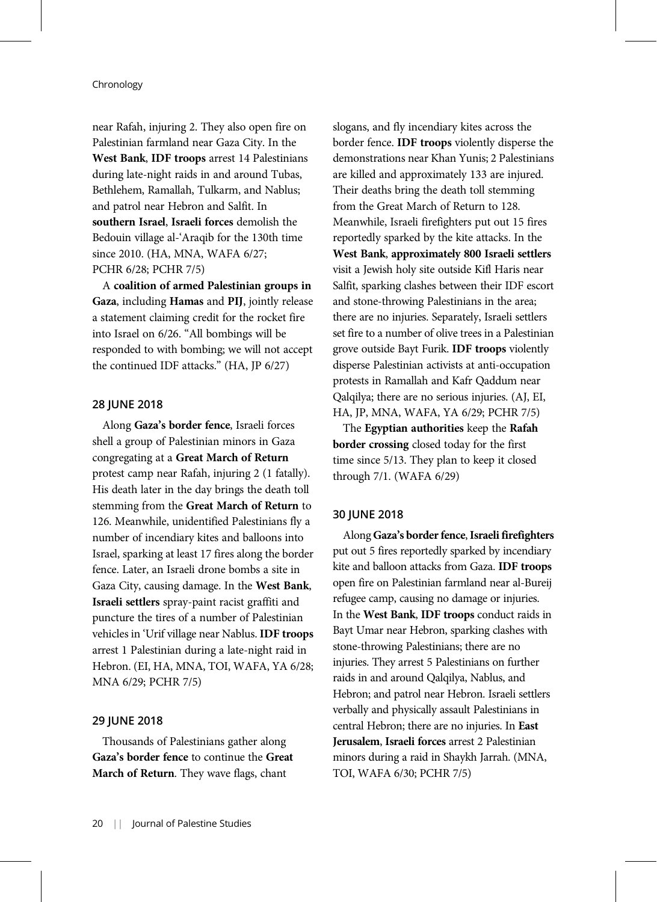near Rafah, injuring 2. They also open fire on Palestinian farmland near Gaza City. In the West Bank, IDF troops arrest 14 Palestinians during late-night raids in and around Tubas, Bethlehem, Ramallah, Tulkarm, and Nablus; and patrol near Hebron and Salfit. In southern Israel, Israeli forces demolish the Bedouin village al-'Araqib for the 130th time since 2010. (HA, MNA, WAFA 6/27; PCHR 6/28; PCHR 7/5)

A coalition of armed Palestinian groups in Gaza, including Hamas and PIJ, jointly release a statement claiming credit for the rocket fire into Israel on 6/26. "All bombings will be responded to with bombing; we will not accept the continued IDF attacks." (HA, JP 6/27)

# 28 JUNE 2018

Along Gaza's border fence, Israeli forces shell a group of Palestinian minors in Gaza congregating at a Great March of Return protest camp near Rafah, injuring 2 (1 fatally). His death later in the day brings the death toll stemming from the Great March of Return to 126. Meanwhile, unidentified Palestinians fly a number of incendiary kites and balloons into Israel, sparking at least 17 fires along the border fence. Later, an Israeli drone bombs a site in Gaza City, causing damage. In the West Bank, Israeli settlers spray-paint racist graffiti and puncture the tires of a number of Palestinian vehicles in 'Urif village near Nablus. IDF troops arrest 1 Palestinian during a late-night raid in Hebron. (EI, HA, MNA, TOI, WAFA, YA 6/28; MNA 6/29; PCHR 7/5)

## 29 JUNE 2018

Thousands of Palestinians gather along Gaza's border fence to continue the Great March of Return. They wave flags, chant

slogans, and fly incendiary kites across the border fence. IDF troops violently disperse the demonstrations near Khan Yunis; 2 Palestinians are killed and approximately 133 are injured. Their deaths bring the death toll stemming from the Great March of Return to 128. Meanwhile, Israeli firefighters put out 15 fires reportedly sparked by the kite attacks. In the West Bank, approximately 800 Israeli settlers visit a Jewish holy site outside Kifl Haris near Salfit, sparking clashes between their IDF escort and stone-throwing Palestinians in the area; there are no injuries. Separately, Israeli settlers set fire to a number of olive trees in a Palestinian grove outside Bayt Furik. IDF troops violently disperse Palestinian activists at anti-occupation protests in Ramallah and Kafr Qaddum near Qalqilya; there are no serious injuries. (AJ, EI, HA, JP, MNA, WAFA, YA 6/29; PCHR 7/5)

The Egyptian authorities keep the Rafah border crossing closed today for the first time since 5/13. They plan to keep it closed through 7/1. (WAFA 6/29)

### 30 JUNE 2018

Along Gaza's border fence, Israeli firefighters put out 5 fires reportedly sparked by incendiary kite and balloon attacks from Gaza. IDF troops open fire on Palestinian farmland near al-Bureij refugee camp, causing no damage or injuries. In the West Bank, IDF troops conduct raids in Bayt Umar near Hebron, sparking clashes with stone-throwing Palestinians; there are no injuries. They arrest 5 Palestinians on further raids in and around Qalqilya, Nablus, and Hebron; and patrol near Hebron. Israeli settlers verbally and physically assault Palestinians in central Hebron; there are no injuries. In East Jerusalem, Israeli forces arrest 2 Palestinian minors during a raid in Shaykh Jarrah. (MNA, TOI, WAFA 6/30; PCHR 7/5)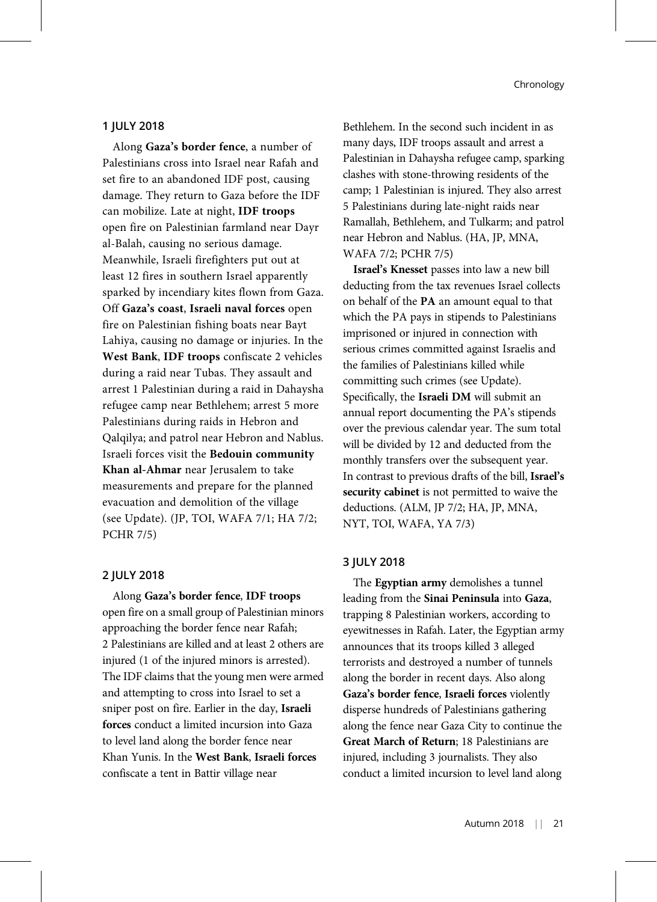# 1 JULY 2018

Along Gaza's border fence, a number of Palestinians cross into Israel near Rafah and set fire to an abandoned IDF post, causing damage. They return to Gaza before the IDF can mobilize. Late at night, IDF troops open fire on Palestinian farmland near Dayr al-Balah, causing no serious damage. Meanwhile, Israeli firefighters put out at least 12 fires in southern Israel apparently sparked by incendiary kites flown from Gaza. Off Gaza's coast, Israeli naval forces open fire on Palestinian fishing boats near Bayt Lahiya, causing no damage or injuries. In the West Bank, IDF troops confiscate 2 vehicles during a raid near Tubas. They assault and arrest 1 Palestinian during a raid in Dahaysha refugee camp near Bethlehem; arrest 5 more Palestinians during raids in Hebron and Qalqilya; and patrol near Hebron and Nablus. Israeli forces visit the Bedouin community Khan al-Ahmar near Jerusalem to take measurements and prepare for the planned evacuation and demolition of the village (see Update). (JP, TOI, WAFA 7/1; HA 7/2; PCHR 7/5)

## 2 JULY 2018

Along Gaza's border fence, IDF troops open fire on a small group of Palestinian minors approaching the border fence near Rafah; 2 Palestinians are killed and at least 2 others are injured (1 of the injured minors is arrested). The IDF claims that the young men were armed and attempting to cross into Israel to set a sniper post on fire. Earlier in the day, Israeli forces conduct a limited incursion into Gaza to level land along the border fence near Khan Yunis. In the West Bank, Israeli forces confiscate a tent in Battir village near

Bethlehem. In the second such incident in as many days, IDF troops assault and arrest a Palestinian in Dahaysha refugee camp, sparking clashes with stone-throwing residents of the camp; 1 Palestinian is injured. They also arrest 5 Palestinians during late-night raids near Ramallah, Bethlehem, and Tulkarm; and patrol near Hebron and Nablus. (HA, JP, MNA, WAFA 7/2; PCHR 7/5)

Israel's Knesset passes into law a new bill deducting from the tax revenues Israel collects on behalf of the PA an amount equal to that which the PA pays in stipends to Palestinians imprisoned or injured in connection with serious crimes committed against Israelis and the families of Palestinians killed while committing such crimes (see Update). Specifically, the Israeli DM will submit an annual report documenting the PA's stipends over the previous calendar year. The sum total will be divided by 12 and deducted from the monthly transfers over the subsequent year. In contrast to previous drafts of the bill, Israel's security cabinet is not permitted to waive the deductions. (ALM, JP 7/2; HA, JP, MNA, NYT, TOI, WAFA, YA 7/3)

## 3 JULY 2018

The Egyptian army demolishes a tunnel leading from the Sinai Peninsula into Gaza, trapping 8 Palestinian workers, according to eyewitnesses in Rafah. Later, the Egyptian army announces that its troops killed 3 alleged terrorists and destroyed a number of tunnels along the border in recent days. Also along Gaza's border fence, Israeli forces violently disperse hundreds of Palestinians gathering along the fence near Gaza City to continue the Great March of Return; 18 Palestinians are injured, including 3 journalists. They also conduct a limited incursion to level land along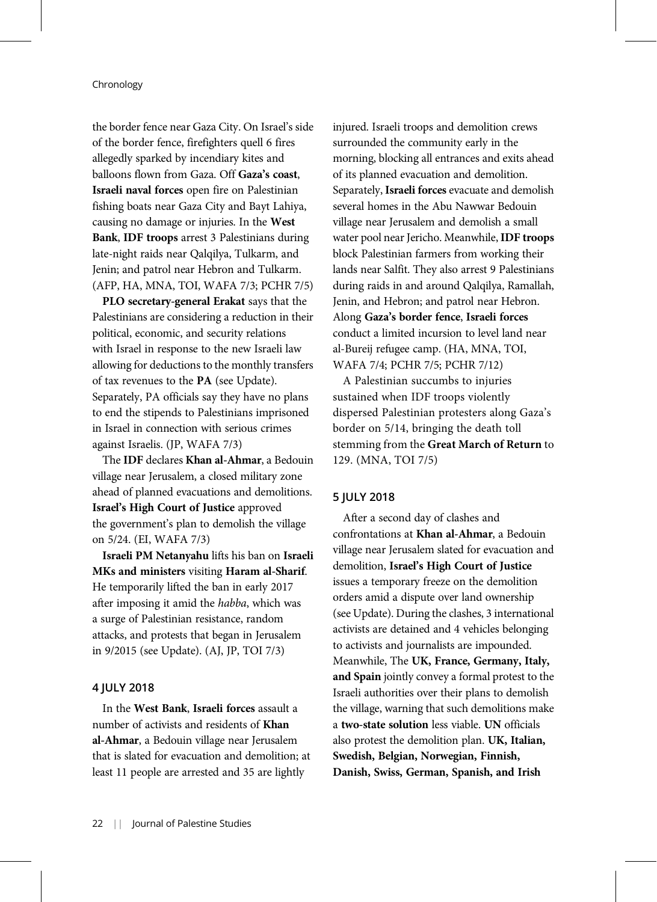the border fence near Gaza City. On Israel's side of the border fence, firefighters quell 6 fires allegedly sparked by incendiary kites and balloons flown from Gaza. Off Gaza's coast, Israeli naval forces open fire on Palestinian fishing boats near Gaza City and Bayt Lahiya, causing no damage or injuries. In the West Bank, IDF troops arrest 3 Palestinians during late-night raids near Qalqilya, Tulkarm, and Jenin; and patrol near Hebron and Tulkarm. (AFP, HA, MNA, TOI, WAFA 7/3; PCHR 7/5)

PLO secretary-general Erakat says that the Palestinians are considering a reduction in their political, economic, and security relations with Israel in response to the new Israeli law allowing for deductions to the monthly transfers of tax revenues to the PA (see Update). Separately, PA officials say they have no plans to end the stipends to Palestinians imprisoned in Israel in connection with serious crimes against Israelis. (JP, WAFA 7/3)

The IDF declares Khan al-Ahmar, a Bedouin village near Jerusalem, a closed military zone ahead of planned evacuations and demolitions. Israel's High Court of Justice approved the government's plan to demolish the village on 5/24. (EI, WAFA 7/3)

Israeli PM Netanyahu lifts his ban on Israeli MKs and ministers visiting Haram al-Sharif. He temporarily lifted the ban in early 2017 after imposing it amid the habba, which was a surge of Palestinian resistance, random attacks, and protests that began in Jerusalem in 9/2015 (see Update). (AJ, JP, TOI 7/3)

#### 4 JULY 2018

In the West Bank, Israeli forces assault a number of activists and residents of Khan al-Ahmar, a Bedouin village near Jerusalem that is slated for evacuation and demolition; at least 11 people are arrested and 35 are lightly

injured. Israeli troops and demolition crews surrounded the community early in the morning, blocking all entrances and exits ahead of its planned evacuation and demolition. Separately, Israeli forces evacuate and demolish several homes in the Abu Nawwar Bedouin village near Jerusalem and demolish a small water pool near Jericho. Meanwhile,IDF troops block Palestinian farmers from working their lands near Salfit. They also arrest 9 Palestinians during raids in and around Qalqilya, Ramallah, Jenin, and Hebron; and patrol near Hebron. Along Gaza's border fence, Israeli forces conduct a limited incursion to level land near al-Bureij refugee camp. (HA, MNA, TOI, WAFA 7/4; PCHR 7/5; PCHR 7/12)

A Palestinian succumbs to injuries sustained when IDF troops violently dispersed Palestinian protesters along Gaza's border on 5/14, bringing the death toll stemming from the Great March of Return to 129. (MNA, TOI 7/5)

# 5 JULY 2018

After a second day of clashes and confrontations at Khan al-Ahmar, a Bedouin village near Jerusalem slated for evacuation and demolition, Israel's High Court of Justice issues a temporary freeze on the demolition orders amid a dispute over land ownership (see Update). During the clashes, 3 international activists are detained and 4 vehicles belonging to activists and journalists are impounded. Meanwhile, The UK, France, Germany, Italy, and Spain jointly convey a formal protest to the Israeli authorities over their plans to demolish the village, warning that such demolitions make a two-state solution less viable. UN officials also protest the demolition plan. UK, Italian, Swedish, Belgian, Norwegian, Finnish, Danish, Swiss, German, Spanish, and Irish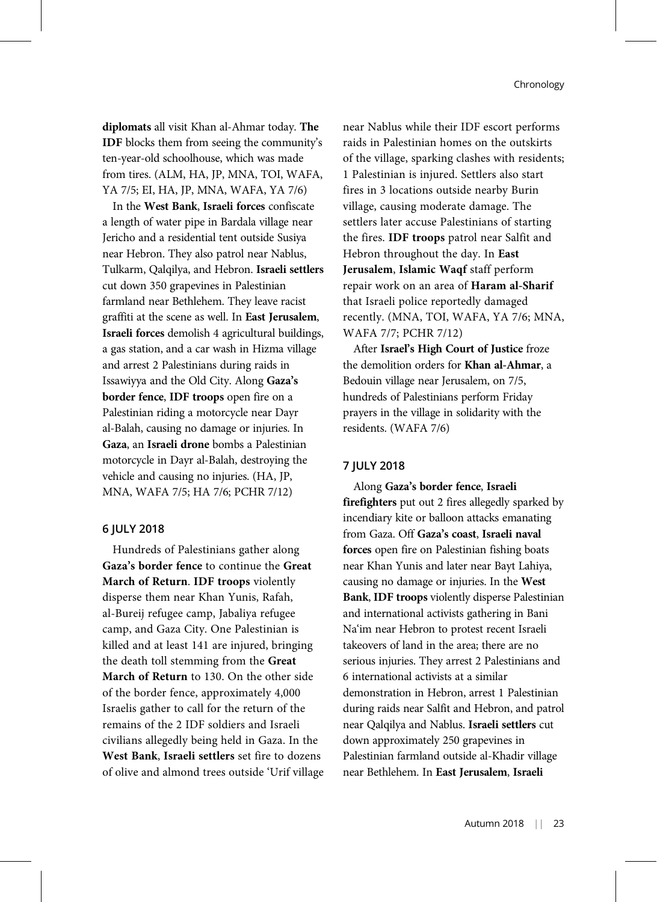diplomats all visit Khan al-Ahmar today. The IDF blocks them from seeing the community's ten-year-old schoolhouse, which was made from tires. (ALM, HA, JP, MNA, TOI, WAFA, YA 7/5; EI, HA, JP, MNA, WAFA, YA 7/6)

In the West Bank, Israeli forces confiscate a length of water pipe in Bardala village near Jericho and a residential tent outside Susiya near Hebron. They also patrol near Nablus, Tulkarm, Qalqilya, and Hebron. Israeli settlers cut down 350 grapevines in Palestinian farmland near Bethlehem. They leave racist graffiti at the scene as well. In East Jerusalem, Israeli forces demolish 4 agricultural buildings, a gas station, and a car wash in Hizma village and arrest 2 Palestinians during raids in Issawiyya and the Old City. Along Gaza's border fence, IDF troops open fire on a Palestinian riding a motorcycle near Dayr al-Balah, causing no damage or injuries. In Gaza, an Israeli drone bombs a Palestinian motorcycle in Dayr al-Balah, destroying the vehicle and causing no injuries. (HA, JP, MNA, WAFA 7/5; HA 7/6; PCHR 7/12)

# 6 JULY 2018

Hundreds of Palestinians gather along Gaza's border fence to continue the Great March of Return. IDF troops violently disperse them near Khan Yunis, Rafah, al-Bureij refugee camp, Jabaliya refugee camp, and Gaza City. One Palestinian is killed and at least 141 are injured, bringing the death toll stemming from the Great March of Return to 130. On the other side of the border fence, approximately 4,000 Israelis gather to call for the return of the remains of the 2 IDF soldiers and Israeli civilians allegedly being held in Gaza. In the West Bank, Israeli settlers set fire to dozens of olive and almond trees outside 'Urif village near Nablus while their IDF escort performs raids in Palestinian homes on the outskirts of the village, sparking clashes with residents; 1 Palestinian is injured. Settlers also start fires in 3 locations outside nearby Burin village, causing moderate damage. The settlers later accuse Palestinians of starting the fires. IDF troops patrol near Salfit and Hebron throughout the day. In East Jerusalem, Islamic Waqf staff perform repair work on an area of Haram al-Sharif that Israeli police reportedly damaged recently. (MNA, TOI, WAFA, YA 7/6; MNA, WAFA 7/7; PCHR 7/12)

After Israel's High Court of Justice froze the demolition orders for Khan al-Ahmar, a Bedouin village near Jerusalem, on 7/5, hundreds of Palestinians perform Friday prayers in the village in solidarity with the residents. (WAFA 7/6)

## 7 JULY 2018

Along Gaza's border fence, Israeli firefighters put out 2 fires allegedly sparked by incendiary kite or balloon attacks emanating from Gaza. Off Gaza's coast, Israeli naval forces open fire on Palestinian fishing boats near Khan Yunis and later near Bayt Lahiya, causing no damage or injuries. In the West Bank, IDF troops violently disperse Palestinian and international activists gathering in Bani Na'im near Hebron to protest recent Israeli takeovers of land in the area; there are no serious injuries. They arrest 2 Palestinians and 6 international activists at a similar demonstration in Hebron, arrest 1 Palestinian during raids near Salfit and Hebron, and patrol near Qalqilya and Nablus. Israeli settlers cut down approximately 250 grapevines in Palestinian farmland outside al-Khadir village near Bethlehem. In East Jerusalem, Israeli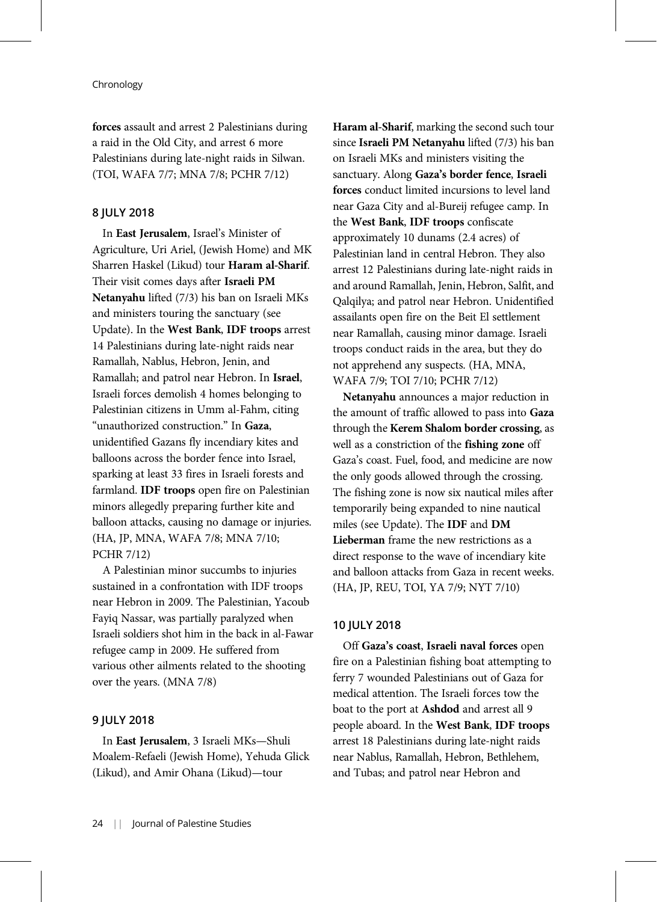forces assault and arrest 2 Palestinians during a raid in the Old City, and arrest 6 more Palestinians during late-night raids in Silwan. (TOI, WAFA 7/7; MNA 7/8; PCHR 7/12)

# 8 JULY 2018

In East Jerusalem, Israel's Minister of Agriculture, Uri Ariel, (Jewish Home) and MK Sharren Haskel (Likud) tour Haram al-Sharif. Their visit comes days after Israeli PM Netanyahu lifted (7/3) his ban on Israeli MKs and ministers touring the sanctuary (see Update). In the West Bank, IDF troops arrest 14 Palestinians during late-night raids near Ramallah, Nablus, Hebron, Jenin, and Ramallah; and patrol near Hebron. In Israel, Israeli forces demolish 4 homes belonging to Palestinian citizens in Umm al-Fahm, citing "unauthorized construction." In Gaza, unidentified Gazans fly incendiary kites and balloons across the border fence into Israel, sparking at least 33 fires in Israeli forests and farmland. IDF troops open fire on Palestinian minors allegedly preparing further kite and balloon attacks, causing no damage or injuries. (HA, JP, MNA, WAFA 7/8; MNA 7/10; PCHR 7/12)

A Palestinian minor succumbs to injuries sustained in a confrontation with IDF troops near Hebron in 2009. The Palestinian, Yacoub Fayiq Nassar, was partially paralyzed when Israeli soldiers shot him in the back in al-Fawar refugee camp in 2009. He suffered from various other ailments related to the shooting over the years. (MNA 7/8)

## 9 JULY 2018

In East Jerusalem, 3 Israeli MKs—Shuli Moalem-Refaeli (Jewish Home), Yehuda Glick (Likud), and Amir Ohana (Likud)—tour

Haram al-Sharif, marking the second such tour since Israeli PM Netanyahu lifted (7/3) his ban on Israeli MKs and ministers visiting the sanctuary. Along Gaza's border fence, Israeli forces conduct limited incursions to level land near Gaza City and al-Bureij refugee camp. In the West Bank, IDF troops confiscate approximately 10 dunams (2.4 acres) of Palestinian land in central Hebron. They also arrest 12 Palestinians during late-night raids in and around Ramallah, Jenin, Hebron, Salfit, and Qalqilya; and patrol near Hebron. Unidentified assailants open fire on the Beit El settlement near Ramallah, causing minor damage. Israeli troops conduct raids in the area, but they do not apprehend any suspects. (HA, MNA, WAFA 7/9; TOI 7/10; PCHR 7/12)

Netanyahu announces a major reduction in the amount of traffic allowed to pass into Gaza through the Kerem Shalom border crossing, as well as a constriction of the fishing zone off Gaza's coast. Fuel, food, and medicine are now the only goods allowed through the crossing. The fishing zone is now six nautical miles after temporarily being expanded to nine nautical miles (see Update). The IDF and DM Lieberman frame the new restrictions as a direct response to the wave of incendiary kite and balloon attacks from Gaza in recent weeks. (HA, JP, REU, TOI, YA 7/9; NYT 7/10)

#### 10 JULY 2018

Off Gaza's coast, Israeli naval forces open fire on a Palestinian fishing boat attempting to ferry 7 wounded Palestinians out of Gaza for medical attention. The Israeli forces tow the boat to the port at Ashdod and arrest all 9 people aboard. In the West Bank, IDF troops arrest 18 Palestinians during late-night raids near Nablus, Ramallah, Hebron, Bethlehem, and Tubas; and patrol near Hebron and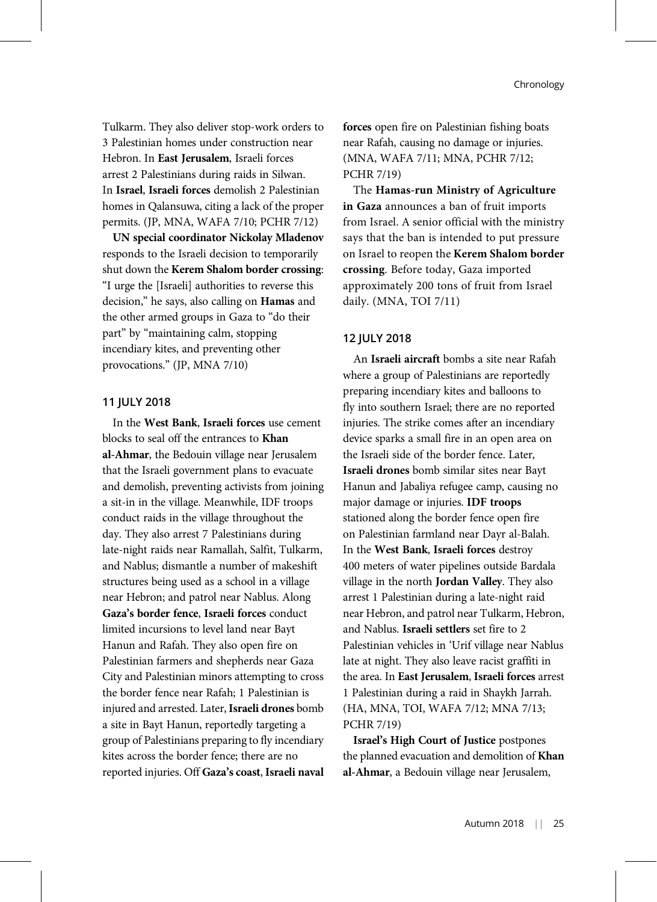Tulkarm. They also deliver stop-work orders to 3 Palestinian homes under construction near Hebron. In East Jerusalem, Israeli forces arrest 2 Palestinians during raids in Silwan. In Israel, Israeli forces demolish 2 Palestinian homes in Qalansuwa, citing a lack of the proper permits. (JP, MNA, WAFA 7/10; PCHR 7/12)

UN special coordinator Nickolay Mladenov responds to the Israeli decision to temporarily shut down the Kerem Shalom border crossing: "I urge the [Israeli] authorities to reverse this decision," he says, also calling on Hamas and the other armed groups in Gaza to "do their part" by "maintaining calm, stopping incendiary kites, and preventing other provocations." (JP, MNA 7/10)

# 11 JULY 2018

In the West Bank, Israeli forces use cement blocks to seal off the entrances to Khan al-Ahmar, the Bedouin village near Jerusalem that the Israeli government plans to evacuate and demolish, preventing activists from joining a sit-in in the village. Meanwhile, IDF troops conduct raids in the village throughout the day. They also arrest 7 Palestinians during late-night raids near Ramallah, Salfit, Tulkarm, and Nablus; dismantle a number of makeshift structures being used as a school in a village near Hebron; and patrol near Nablus. Along Gaza's border fence, Israeli forces conduct limited incursions to level land near Bayt Hanun and Rafah. They also open fire on Palestinian farmers and shepherds near Gaza City and Palestinian minors attempting to cross the border fence near Rafah; 1 Palestinian is injured and arrested. Later, Israeli drones bomb a site in Bayt Hanun, reportedly targeting a group of Palestinians preparing to fly incendiary kites across the border fence; there are no reported injuries. Off Gaza's coast, Israeli naval forces open fire on Palestinian fishing boats near Rafah, causing no damage or injuries. (MNA, WAFA 7/11; MNA, PCHR 7/12; PCHR 7/19)

The Hamas-run Ministry of Agriculture in Gaza announces a ban of fruit imports from Israel. A senior official with the ministry says that the ban is intended to put pressure on Israel to reopen the Kerem Shalom border crossing. Before today, Gaza imported approximately 200 tons of fruit from Israel daily. (MNA, TOI 7/11)

# 12 JULY 2018

An Israeli aircraft bombs a site near Rafah where a group of Palestinians are reportedly preparing incendiary kites and balloons to fly into southern Israel; there are no reported injuries. The strike comes after an incendiary device sparks a small fire in an open area on the Israeli side of the border fence. Later, Israeli drones bomb similar sites near Bayt Hanun and Jabaliya refugee camp, causing no major damage or injuries. IDF troops stationed along the border fence open fire on Palestinian farmland near Dayr al-Balah. In the West Bank, Israeli forces destroy 400 meters of water pipelines outside Bardala village in the north Jordan Valley. They also arrest 1 Palestinian during a late-night raid near Hebron, and patrol near Tulkarm, Hebron, and Nablus. Israeli settlers set fire to 2 Palestinian vehicles in 'Urif village near Nablus late at night. They also leave racist graffiti in the area. In East Jerusalem, Israeli forces arrest 1 Palestinian during a raid in Shaykh Jarrah. (HA, MNA, TOI, WAFA 7/12; MNA 7/13; PCHR 7/19)

Israel's High Court of Justice postpones the planned evacuation and demolition of Khan al-Ahmar, a Bedouin village near Jerusalem,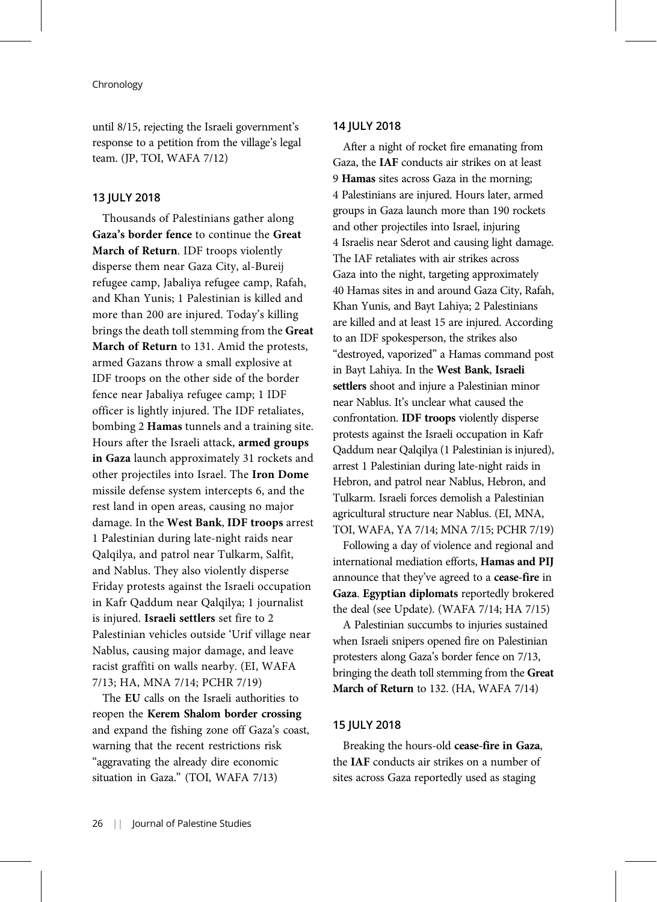until 8/15, rejecting the Israeli government's response to a petition from the village's legal team. (JP, TOI, WAFA 7/12)

#### 13 JULY 2018

Thousands of Palestinians gather along Gaza's border fence to continue the Great March of Return. IDF troops violently disperse them near Gaza City, al-Bureij refugee camp, Jabaliya refugee camp, Rafah, and Khan Yunis; 1 Palestinian is killed and more than 200 are injured. Today's killing brings the death toll stemming from the Great March of Return to 131. Amid the protests, armed Gazans throw a small explosive at IDF troops on the other side of the border fence near Jabaliya refugee camp; 1 IDF officer is lightly injured. The IDF retaliates, bombing 2 Hamas tunnels and a training site. Hours after the Israeli attack, armed groups in Gaza launch approximately 31 rockets and other projectiles into Israel. The Iron Dome missile defense system intercepts 6, and the rest land in open areas, causing no major damage. In the West Bank, IDF troops arrest 1 Palestinian during late-night raids near Qalqilya, and patrol near Tulkarm, Salfit, and Nablus. They also violently disperse Friday protests against the Israeli occupation in Kafr Qaddum near Qalqilya; 1 journalist is injured. Israeli settlers set fire to 2 Palestinian vehicles outside 'Urif village near Nablus, causing major damage, and leave racist graffiti on walls nearby. (EI, WAFA 7/13; HA, MNA 7/14; PCHR 7/19)

The EU calls on the Israeli authorities to reopen the Kerem Shalom border crossing and expand the fishing zone off Gaza's coast, warning that the recent restrictions risk "aggravating the already dire economic situation in Gaza." (TOI, WAFA 7/13)

# 14 JULY 2018

After a night of rocket fire emanating from Gaza, the IAF conducts air strikes on at least 9 Hamas sites across Gaza in the morning; 4 Palestinians are injured. Hours later, armed groups in Gaza launch more than 190 rockets and other projectiles into Israel, injuring 4 Israelis near Sderot and causing light damage. The IAF retaliates with air strikes across Gaza into the night, targeting approximately 40 Hamas sites in and around Gaza City, Rafah, Khan Yunis, and Bayt Lahiya; 2 Palestinians are killed and at least 15 are injured. According to an IDF spokesperson, the strikes also "destroyed, vaporized" a Hamas command post in Bayt Lahiya. In the West Bank, Israeli settlers shoot and injure a Palestinian minor near Nablus. It's unclear what caused the confrontation. IDF troops violently disperse protests against the Israeli occupation in Kafr Qaddum near Qalqilya (1 Palestinian is injured), arrest 1 Palestinian during late-night raids in Hebron, and patrol near Nablus, Hebron, and Tulkarm. Israeli forces demolish a Palestinian agricultural structure near Nablus. (EI, MNA, TOI, WAFA, YA 7/14; MNA 7/15; PCHR 7/19)

Following a day of violence and regional and international mediation efforts, Hamas and PIJ announce that they've agreed to a cease-fire in Gaza. Egyptian diplomats reportedly brokered the deal (see Update). (WAFA 7/14; HA 7/15)

A Palestinian succumbs to injuries sustained when Israeli snipers opened fire on Palestinian protesters along Gaza's border fence on 7/13, bringing the death toll stemming from the Great March of Return to 132. (HA, WAFA 7/14)

# 15 JULY 2018

Breaking the hours-old cease-fire in Gaza, the IAF conducts air strikes on a number of sites across Gaza reportedly used as staging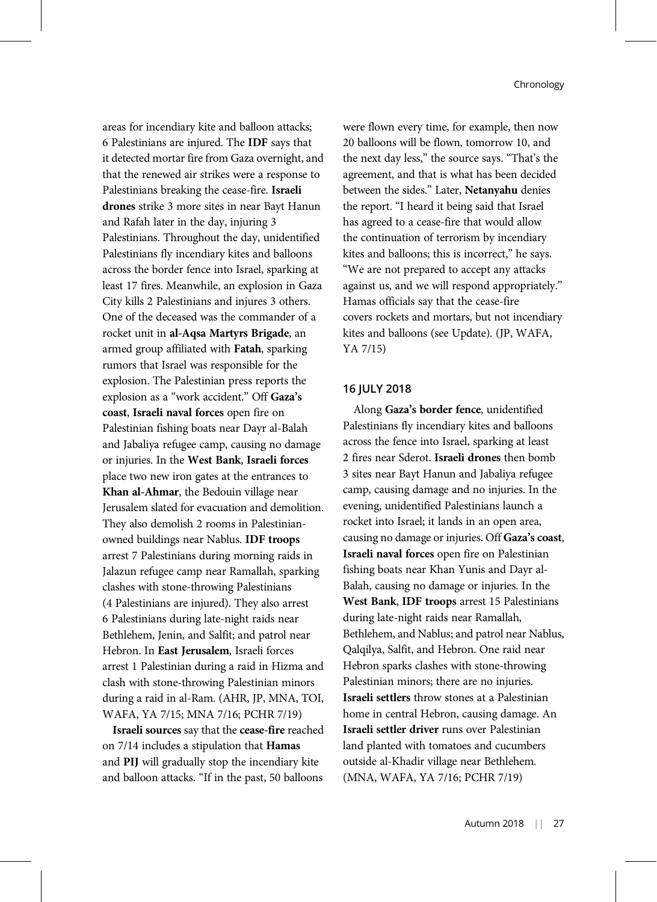areas for incendiary kite and balloon attacks; 6 Palestinians are injured. The IDF says that it detected mortar fire from Gaza overnight, and that the renewed air strikes were a response to Palestinians breaking the cease-fire. Israeli drones strike 3 more sites in near Bayt Hanun and Rafah later in the day, injuring 3 Palestinians. Throughout the day, unidentified Palestinians fly incendiary kites and balloons across the border fence into Israel, sparking at least 17 fires. Meanwhile, an explosion in Gaza City kills 2 Palestinians and injures 3 others. One of the deceased was the commander of a rocket unit in al-Aqsa Martyrs Brigade, an armed group affiliated with Fatah, sparking rumors that Israel was responsible for the explosion. The Palestinian press reports the explosion as a "work accident." Off Gaza's coast, Israeli naval forces open fire on Palestinian fishing boats near Dayr al-Balah and Jabaliya refugee camp, causing no damage or injuries. In the West Bank, Israeli forces place two new iron gates at the entrances to Khan al-Ahmar, the Bedouin village near Jerusalem slated for evacuation and demolition. They also demolish 2 rooms in Palestinianowned buildings near Nablus. IDF troops arrest 7 Palestinians during morning raids in Jalazun refugee camp near Ramallah, sparking clashes with stone-throwing Palestinians (4 Palestinians are injured). They also arrest 6 Palestinians during late-night raids near Bethlehem, Jenin, and Salfit; and patrol near Hebron. In East Jerusalem, Israeli forces arrest 1 Palestinian during a raid in Hizma and clash with stone-throwing Palestinian minors during a raid in al-Ram. (AHR, JP, MNA, TOI, WAFA, YA 7/15; MNA 7/16; PCHR 7/19)

Israeli sources say that the cease-fire reached on 7/14 includes a stipulation that Hamas and PIJ will gradually stop the incendiary kite and balloon attacks. "If in the past, 50 balloons

were flown every time, for example, then now 20 balloons will be flown, tomorrow 10, and the next day less," the source says. "That's the agreement, and that is what has been decided between the sides." Later, Netanyahu denies the report. "I heard it being said that Israel has agreed to a cease-fire that would allow the continuation of terrorism by incendiary kites and balloons; this is incorrect," he says. "We are not prepared to accept any attacks against us, and we will respond appropriately." Hamas officials say that the cease-fire covers rockets and mortars, but not incendiary kites and balloons (see Update). (JP, WAFA, YA 7/15)

# 16 JULY 2018

Along Gaza's border fence, unidentified Palestinians fly incendiary kites and balloons across the fence into Israel, sparking at least 2 fires near Sderot. Israeli drones then bomb 3 sites near Bayt Hanun and Jabaliya refugee camp, causing damage and no injuries. In the evening, unidentified Palestinians launch a rocket into Israel; it lands in an open area, causing no damage or injuries. Off Gaza's coast, Israeli naval forces open fire on Palestinian fishing boats near Khan Yunis and Dayr al-Balah, causing no damage or injuries. In the West Bank, IDF troops arrest 15 Palestinians during late-night raids near Ramallah, Bethlehem, and Nablus; and patrol near Nablus, Qalqilya, Salfit, and Hebron. One raid near Hebron sparks clashes with stone-throwing Palestinian minors; there are no injuries. Israeli settlers throw stones at a Palestinian home in central Hebron, causing damage. An Israeli settler driver runs over Palestinian land planted with tomatoes and cucumbers outside al-Khadir village near Bethlehem. (MNA, WAFA, YA 7/16; PCHR 7/19)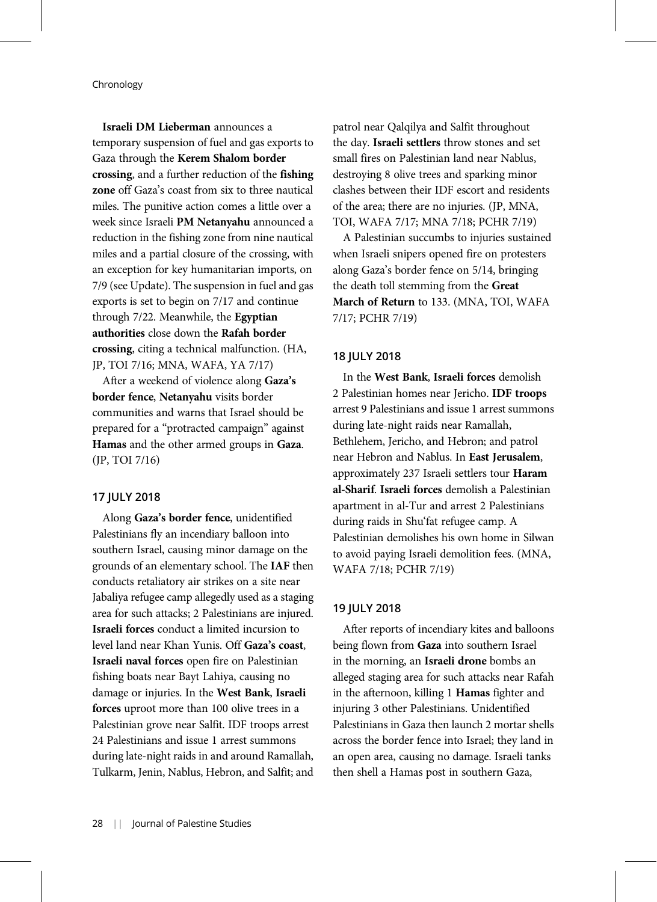Israeli DM Lieberman announces a temporary suspension of fuel and gas exports to Gaza through the Kerem Shalom border crossing, and a further reduction of the fishing zone off Gaza's coast from six to three nautical miles. The punitive action comes a little over a week since Israeli PM Netanyahu announced a reduction in the fishing zone from nine nautical miles and a partial closure of the crossing, with an exception for key humanitarian imports, on 7/9 (see Update). The suspension in fuel and gas exports is set to begin on 7/17 and continue through 7/22. Meanwhile, the Egyptian authorities close down the Rafah border crossing, citing a technical malfunction. (HA, JP, TOI 7/16; MNA, WAFA, YA 7/17)

After a weekend of violence along Gaza's border fence, Netanyahu visits border communities and warns that Israel should be prepared for a "protracted campaign" against Hamas and the other armed groups in Gaza. (JP, TOI 7/16)

## 17 JULY 2018

Along Gaza's border fence, unidentified Palestinians fly an incendiary balloon into southern Israel, causing minor damage on the grounds of an elementary school. The IAF then conducts retaliatory air strikes on a site near Jabaliya refugee camp allegedly used as a staging area for such attacks; 2 Palestinians are injured. Israeli forces conduct a limited incursion to level land near Khan Yunis. Off Gaza's coast, Israeli naval forces open fire on Palestinian fishing boats near Bayt Lahiya, causing no damage or injuries. In the West Bank, Israeli forces uproot more than 100 olive trees in a Palestinian grove near Salfit. IDF troops arrest 24 Palestinians and issue 1 arrest summons during late-night raids in and around Ramallah, Tulkarm, Jenin, Nablus, Hebron, and Salfit; and

patrol near Qalqilya and Salfit throughout the day. Israeli settlers throw stones and set small fires on Palestinian land near Nablus, destroying 8 olive trees and sparking minor clashes between their IDF escort and residents of the area; there are no injuries. (JP, MNA, TOI, WAFA 7/17; MNA 7/18; PCHR 7/19)

A Palestinian succumbs to injuries sustained when Israeli snipers opened fire on protesters along Gaza's border fence on 5/14, bringing the death toll stemming from the Great March of Return to 133. (MNA, TOI, WAFA 7/17; PCHR 7/19)

## 18 JULY 2018

In the West Bank, Israeli forces demolish 2 Palestinian homes near Jericho. IDF troops arrest 9 Palestinians and issue 1 arrest summons during late-night raids near Ramallah, Bethlehem, Jericho, and Hebron; and patrol near Hebron and Nablus. In East Jerusalem, approximately 237 Israeli settlers tour Haram al-Sharif. Israeli forces demolish a Palestinian apartment in al-Tur and arrest 2 Palestinians during raids in Shu'fat refugee camp. A Palestinian demolishes his own home in Silwan to avoid paying Israeli demolition fees. (MNA, WAFA 7/18; PCHR 7/19)

#### 19 JULY 2018

After reports of incendiary kites and balloons being flown from Gaza into southern Israel in the morning, an Israeli drone bombs an alleged staging area for such attacks near Rafah in the afternoon, killing 1 Hamas fighter and injuring 3 other Palestinians. Unidentified Palestinians in Gaza then launch 2 mortar shells across the border fence into Israel; they land in an open area, causing no damage. Israeli tanks then shell a Hamas post in southern Gaza,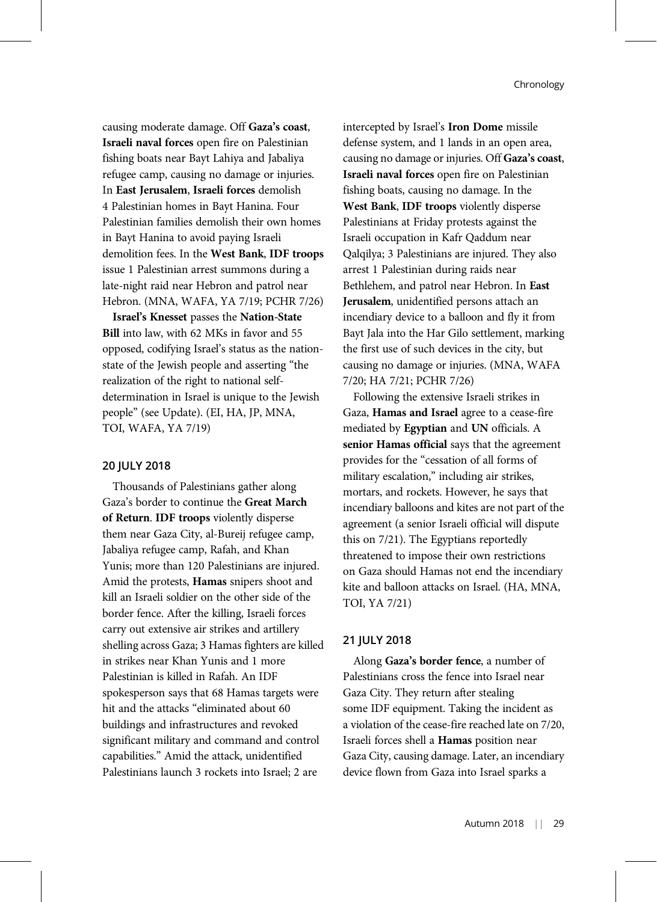causing moderate damage. Off Gaza's coast, Israeli naval forces open fire on Palestinian fishing boats near Bayt Lahiya and Jabaliya refugee camp, causing no damage or injuries. In East Jerusalem, Israeli forces demolish 4 Palestinian homes in Bayt Hanina. Four Palestinian families demolish their own homes in Bayt Hanina to avoid paying Israeli demolition fees. In the West Bank, IDF troops issue 1 Palestinian arrest summons during a late-night raid near Hebron and patrol near Hebron. (MNA, WAFA, YA 7/19; PCHR 7/26)

Israel's Knesset passes the Nation-State Bill into law, with 62 MKs in favor and 55 opposed, codifying Israel's status as the nationstate of the Jewish people and asserting "the realization of the right to national selfdetermination in Israel is unique to the Jewish people" (see Update). (EI, HA, JP, MNA, TOI, WAFA, YA 7/19)

# 20 JULY 2018

Thousands of Palestinians gather along Gaza's border to continue the Great March of Return. IDF troops violently disperse them near Gaza City, al-Bureij refugee camp, Jabaliya refugee camp, Rafah, and Khan Yunis; more than 120 Palestinians are injured. Amid the protests, Hamas snipers shoot and kill an Israeli soldier on the other side of the border fence. After the killing, Israeli forces carry out extensive air strikes and artillery shelling across Gaza; 3 Hamas fighters are killed in strikes near Khan Yunis and 1 more Palestinian is killed in Rafah. An IDF spokesperson says that 68 Hamas targets were hit and the attacks "eliminated about 60 buildings and infrastructures and revoked significant military and command and control capabilities." Amid the attack, unidentified Palestinians launch 3 rockets into Israel; 2 are

intercepted by Israel's Iron Dome missile defense system, and 1 lands in an open area, causing no damage or injuries. Off Gaza's coast, Israeli naval forces open fire on Palestinian fishing boats, causing no damage. In the West Bank, IDF troops violently disperse Palestinians at Friday protests against the Israeli occupation in Kafr Qaddum near Qalqilya; 3 Palestinians are injured. They also arrest 1 Palestinian during raids near Bethlehem, and patrol near Hebron. In East Jerusalem, unidentified persons attach an incendiary device to a balloon and fly it from Bayt Jala into the Har Gilo settlement, marking the first use of such devices in the city, but causing no damage or injuries. (MNA, WAFA 7/20; HA 7/21; PCHR 7/26)

Following the extensive Israeli strikes in Gaza, Hamas and Israel agree to a cease-fire mediated by Egyptian and UN officials. A senior Hamas official says that the agreement provides for the "cessation of all forms of military escalation," including air strikes, mortars, and rockets. However, he says that incendiary balloons and kites are not part of the agreement (a senior Israeli official will dispute this on 7/21). The Egyptians reportedly threatened to impose their own restrictions on Gaza should Hamas not end the incendiary kite and balloon attacks on Israel. (HA, MNA, TOI, YA 7/21)

# 21 JULY 2018

Along Gaza's border fence, a number of Palestinians cross the fence into Israel near Gaza City. They return after stealing some IDF equipment. Taking the incident as a violation of the cease-fire reached late on 7/20, Israeli forces shell a Hamas position near Gaza City, causing damage. Later, an incendiary device flown from Gaza into Israel sparks a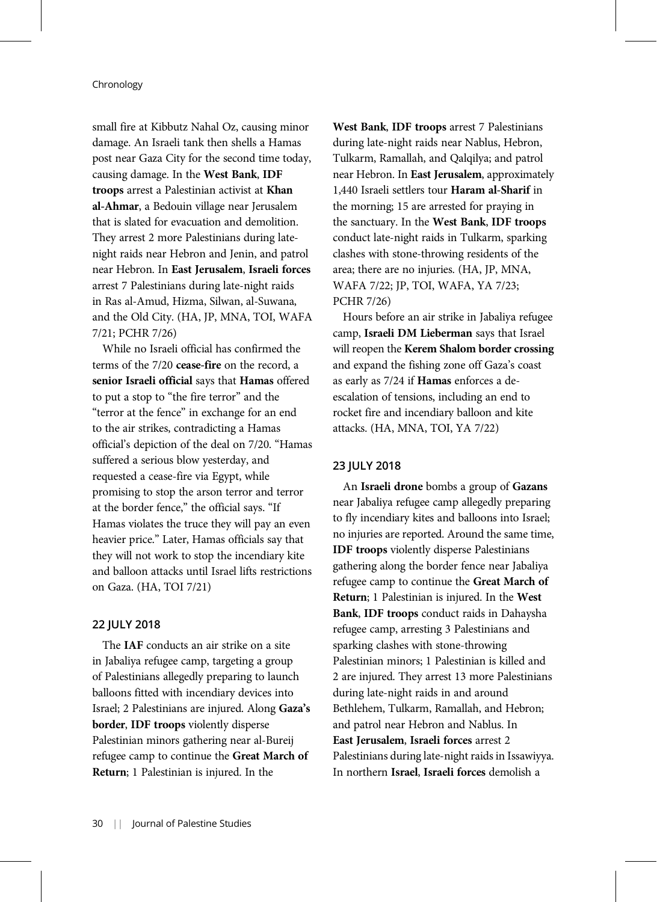small fire at Kibbutz Nahal Oz, causing minor damage. An Israeli tank then shells a Hamas post near Gaza City for the second time today, causing damage. In the West Bank, IDF troops arrest a Palestinian activist at Khan al-Ahmar, a Bedouin village near Jerusalem that is slated for evacuation and demolition. They arrest 2 more Palestinians during latenight raids near Hebron and Jenin, and patrol near Hebron. In East Jerusalem, Israeli forces arrest 7 Palestinians during late-night raids in Ras al-Amud, Hizma, Silwan, al-Suwana, and the Old City. (HA, JP, MNA, TOI, WAFA 7/21; PCHR 7/26)

While no Israeli official has confirmed the terms of the 7/20 cease-fire on the record, a senior Israeli official says that Hamas offered to put a stop to "the fire terror" and the "terror at the fence" in exchange for an end to the air strikes, contradicting a Hamas official's depiction of the deal on 7/20. "Hamas suffered a serious blow yesterday, and requested a cease-fire via Egypt, while promising to stop the arson terror and terror at the border fence," the official says. "If Hamas violates the truce they will pay an even heavier price." Later, Hamas officials say that they will not work to stop the incendiary kite and balloon attacks until Israel lifts restrictions on Gaza. (HA, TOI 7/21)

# 22 JULY 2018

The IAF conducts an air strike on a site in Jabaliya refugee camp, targeting a group of Palestinians allegedly preparing to launch balloons fitted with incendiary devices into Israel; 2 Palestinians are injured. Along Gaza's border, IDF troops violently disperse Palestinian minors gathering near al-Bureij refugee camp to continue the Great March of Return; 1 Palestinian is injured. In the

West Bank, IDF troops arrest 7 Palestinians during late-night raids near Nablus, Hebron, Tulkarm, Ramallah, and Qalqilya; and patrol near Hebron. In East Jerusalem, approximately 1,440 Israeli settlers tour Haram al-Sharif in the morning; 15 are arrested for praying in the sanctuary. In the West Bank, IDF troops conduct late-night raids in Tulkarm, sparking clashes with stone-throwing residents of the area; there are no injuries. (HA, JP, MNA, WAFA 7/22; JP, TOI, WAFA, YA 7/23; PCHR 7/26)

Hours before an air strike in Jabaliya refugee camp, Israeli DM Lieberman says that Israel will reopen the Kerem Shalom border crossing and expand the fishing zone off Gaza's coast as early as 7/24 if Hamas enforces a deescalation of tensions, including an end to rocket fire and incendiary balloon and kite attacks. (HA, MNA, TOI, YA 7/22)

#### 23 JULY 2018

An Israeli drone bombs a group of Gazans near Jabaliya refugee camp allegedly preparing to fly incendiary kites and balloons into Israel; no injuries are reported. Around the same time, IDF troops violently disperse Palestinians gathering along the border fence near Jabaliya refugee camp to continue the Great March of Return; 1 Palestinian is injured. In the West Bank, IDF troops conduct raids in Dahaysha refugee camp, arresting 3 Palestinians and sparking clashes with stone-throwing Palestinian minors; 1 Palestinian is killed and 2 are injured. They arrest 13 more Palestinians during late-night raids in and around Bethlehem, Tulkarm, Ramallah, and Hebron; and patrol near Hebron and Nablus. In East Jerusalem, Israeli forces arrest 2 Palestinians during late-night raids in Issawiyya. In northern Israel, Israeli forces demolish a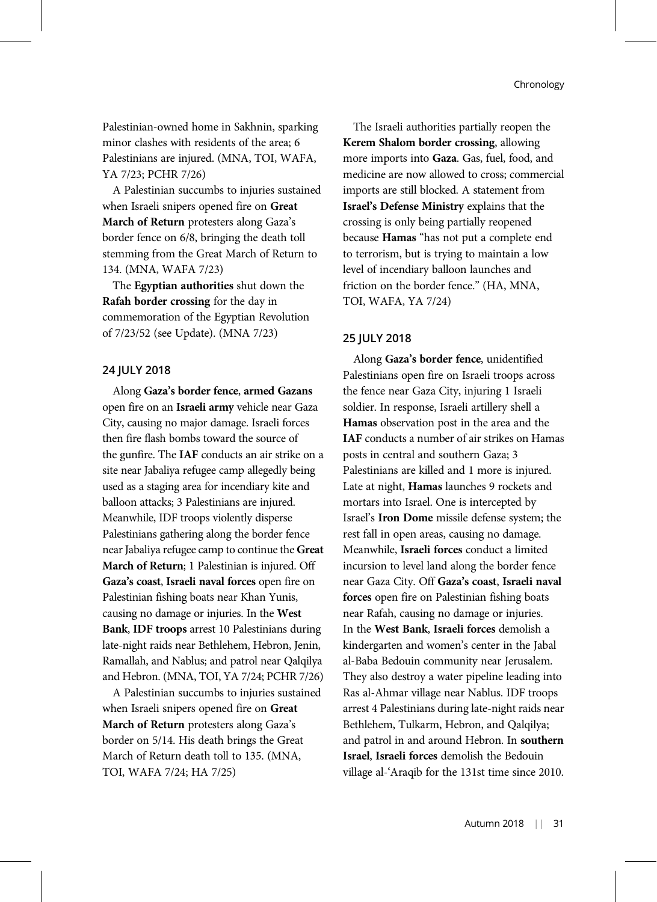Palestinian-owned home in Sakhnin, sparking minor clashes with residents of the area; 6 Palestinians are injured. (MNA, TOI, WAFA, YA 7/23; PCHR 7/26)

A Palestinian succumbs to injuries sustained when Israeli snipers opened fire on Great March of Return protesters along Gaza's border fence on 6/8, bringing the death toll stemming from the Great March of Return to 134. (MNA, WAFA 7/23)

The Egyptian authorities shut down the Rafah border crossing for the day in commemoration of the Egyptian Revolution of 7/23/52 (see Update). (MNA 7/23)

# 24 JULY 2018

Along Gaza's border fence, armed Gazans open fire on an Israeli army vehicle near Gaza City, causing no major damage. Israeli forces then fire flash bombs toward the source of the gunfire. The IAF conducts an air strike on a site near Jabaliya refugee camp allegedly being used as a staging area for incendiary kite and balloon attacks; 3 Palestinians are injured. Meanwhile, IDF troops violently disperse Palestinians gathering along the border fence near Jabaliya refugee camp to continue the Great March of Return; 1 Palestinian is injured. Off Gaza's coast, Israeli naval forces open fire on Palestinian fishing boats near Khan Yunis, causing no damage or injuries. In the West Bank, IDF troops arrest 10 Palestinians during late-night raids near Bethlehem, Hebron, Jenin, Ramallah, and Nablus; and patrol near Qalqilya and Hebron. (MNA, TOI, YA 7/24; PCHR 7/26)

A Palestinian succumbs to injuries sustained when Israeli snipers opened fire on Great March of Return protesters along Gaza's border on 5/14. His death brings the Great March of Return death toll to 135. (MNA, TOI, WAFA 7/24; HA 7/25)

The Israeli authorities partially reopen the Kerem Shalom border crossing, allowing more imports into Gaza. Gas, fuel, food, and medicine are now allowed to cross; commercial imports are still blocked. A statement from Israel's Defense Ministry explains that the crossing is only being partially reopened because Hamas "has not put a complete end to terrorism, but is trying to maintain a low level of incendiary balloon launches and friction on the border fence." (HA, MNA, TOI, WAFA, YA 7/24)

# 25 JULY 2018

Along Gaza's border fence, unidentified Palestinians open fire on Israeli troops across the fence near Gaza City, injuring 1 Israeli soldier. In response, Israeli artillery shell a Hamas observation post in the area and the IAF conducts a number of air strikes on Hamas posts in central and southern Gaza; 3 Palestinians are killed and 1 more is injured. Late at night, Hamas launches 9 rockets and mortars into Israel. One is intercepted by Israel's Iron Dome missile defense system; the rest fall in open areas, causing no damage. Meanwhile, Israeli forces conduct a limited incursion to level land along the border fence near Gaza City. Off Gaza's coast, Israeli naval forces open fire on Palestinian fishing boats near Rafah, causing no damage or injuries. In the West Bank, Israeli forces demolish a kindergarten and women's center in the Jabal al-Baba Bedouin community near Jerusalem. They also destroy a water pipeline leading into Ras al-Ahmar village near Nablus. IDF troops arrest 4 Palestinians during late-night raids near Bethlehem, Tulkarm, Hebron, and Qalqilya; and patrol in and around Hebron. In southern Israel, Israeli forces demolish the Bedouin village al-'Araqib for the 131st time since 2010.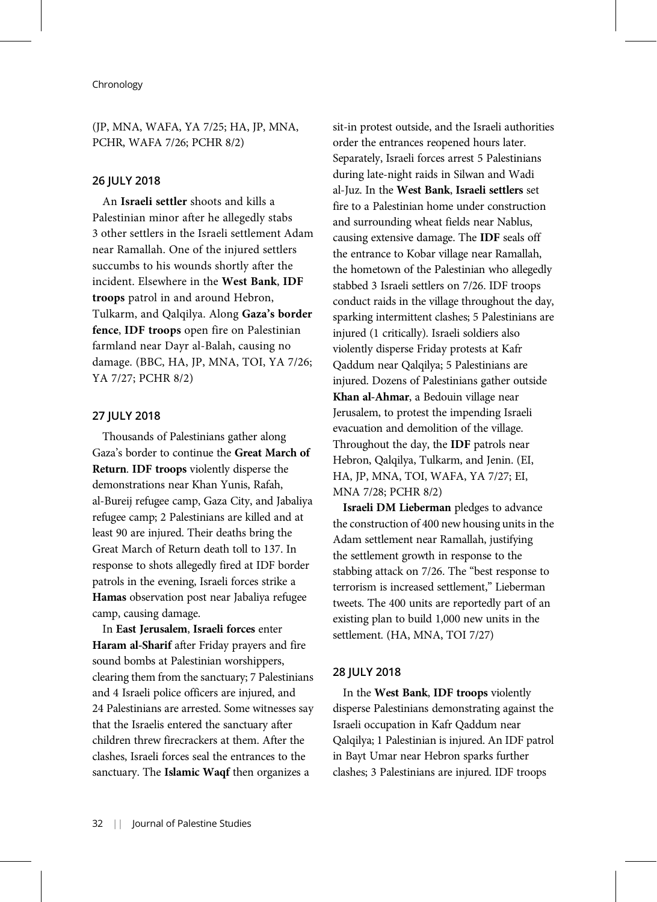# (JP, MNA, WAFA, YA 7/25; HA, JP, MNA, PCHR, WAFA 7/26; PCHR 8/2)

# 26 JULY 2018

An Israeli settler shoots and kills a Palestinian minor after he allegedly stabs 3 other settlers in the Israeli settlement Adam near Ramallah. One of the injured settlers succumbs to his wounds shortly after the incident. Elsewhere in the West Bank, IDF troops patrol in and around Hebron, Tulkarm, and Qalqilya. Along Gaza's border fence, IDF troops open fire on Palestinian farmland near Dayr al-Balah, causing no damage. (BBC, HA, JP, MNA, TOI, YA 7/26; YA 7/27; PCHR 8/2)

# 27 JULY 2018

Thousands of Palestinians gather along Gaza's border to continue the Great March of Return. IDF troops violently disperse the demonstrations near Khan Yunis, Rafah, al-Bureij refugee camp, Gaza City, and Jabaliya refugee camp; 2 Palestinians are killed and at least 90 are injured. Their deaths bring the Great March of Return death toll to 137. In response to shots allegedly fired at IDF border patrols in the evening, Israeli forces strike a Hamas observation post near Jabaliya refugee camp, causing damage.

In East Jerusalem, Israeli forces enter Haram al-Sharif after Friday prayers and fire sound bombs at Palestinian worshippers, clearing them from the sanctuary; 7 Palestinians and 4 Israeli police officers are injured, and 24 Palestinians are arrested. Some witnesses say that the Israelis entered the sanctuary after children threw firecrackers at them. After the clashes, Israeli forces seal the entrances to the sanctuary. The Islamic Waqf then organizes a

sit-in protest outside, and the Israeli authorities order the entrances reopened hours later. Separately, Israeli forces arrest 5 Palestinians during late-night raids in Silwan and Wadi al-Juz. In the West Bank, Israeli settlers set fire to a Palestinian home under construction and surrounding wheat fields near Nablus, causing extensive damage. The IDF seals off the entrance to Kobar village near Ramallah, the hometown of the Palestinian who allegedly stabbed 3 Israeli settlers on 7/26. IDF troops conduct raids in the village throughout the day, sparking intermittent clashes; 5 Palestinians are injured (1 critically). Israeli soldiers also violently disperse Friday protests at Kafr Qaddum near Qalqilya; 5 Palestinians are injured. Dozens of Palestinians gather outside Khan al-Ahmar, a Bedouin village near Jerusalem, to protest the impending Israeli evacuation and demolition of the village. Throughout the day, the IDF patrols near Hebron, Qalqilya, Tulkarm, and Jenin. (EI, HA, JP, MNA, TOI, WAFA, YA 7/27; EI, MNA 7/28; PCHR 8/2)

Israeli DM Lieberman pledges to advance the construction of 400 new housing units in the Adam settlement near Ramallah, justifying the settlement growth in response to the stabbing attack on 7/26. The "best response to terrorism is increased settlement," Lieberman tweets. The 400 units are reportedly part of an existing plan to build 1,000 new units in the settlement. (HA, MNA, TOI 7/27)

#### 28 JULY 2018

In the West Bank, IDF troops violently disperse Palestinians demonstrating against the Israeli occupation in Kafr Qaddum near Qalqilya; 1 Palestinian is injured. An IDF patrol in Bayt Umar near Hebron sparks further clashes; 3 Palestinians are injured. IDF troops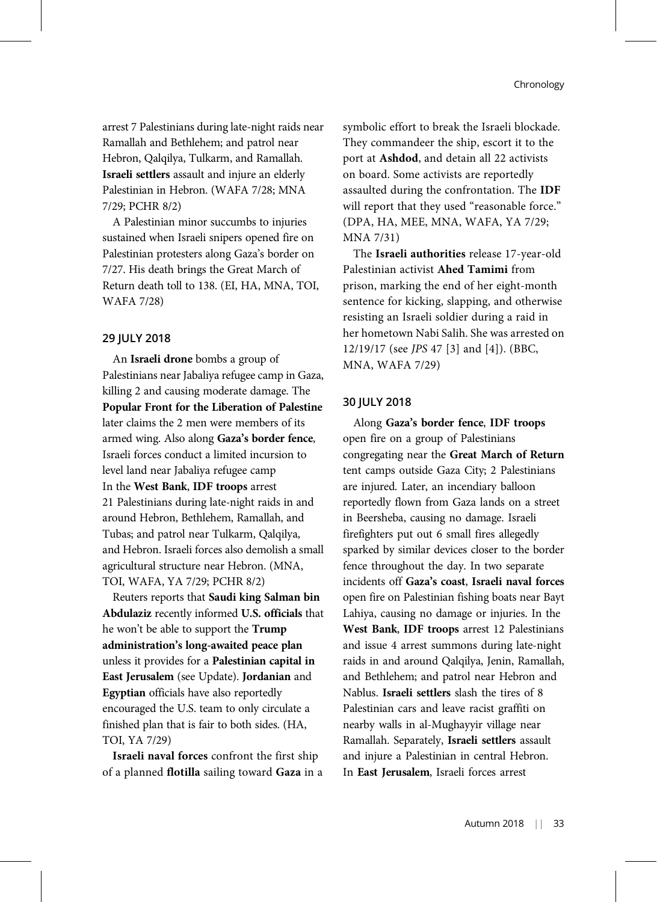arrest 7 Palestinians during late-night raids near Ramallah and Bethlehem; and patrol near Hebron, Qalqilya, Tulkarm, and Ramallah. Israeli settlers assault and injure an elderly Palestinian in Hebron. (WAFA 7/28; MNA 7/29; PCHR 8/2)

A Palestinian minor succumbs to injuries sustained when Israeli snipers opened fire on Palestinian protesters along Gaza's border on 7/27. His death brings the Great March of Return death toll to 138. (EI, HA, MNA, TOI, WAFA 7/28)

# 29 JULY 2018

An Israeli drone bombs a group of Palestinians near Jabaliya refugee camp in Gaza, killing 2 and causing moderate damage. The Popular Front for the Liberation of Palestine later claims the 2 men were members of its armed wing. Also along Gaza's border fence, Israeli forces conduct a limited incursion to level land near Jabaliya refugee camp In the West Bank, IDF troops arrest 21 Palestinians during late-night raids in and around Hebron, Bethlehem, Ramallah, and Tubas; and patrol near Tulkarm, Qalqilya, and Hebron. Israeli forces also demolish a small agricultural structure near Hebron. (MNA, TOI, WAFA, YA 7/29; PCHR 8/2)

Reuters reports that Saudi king Salman bin Abdulaziz recently informed U.S. officials that he won't be able to support the Trump administration's long-awaited peace plan unless it provides for a Palestinian capital in East Jerusalem (see Update). Jordanian and Egyptian officials have also reportedly encouraged the U.S. team to only circulate a finished plan that is fair to both sides. (HA, TOI, YA 7/29)

Israeli naval forces confront the first ship of a planned flotilla sailing toward Gaza in a symbolic effort to break the Israeli blockade. They commandeer the ship, escort it to the port at Ashdod, and detain all 22 activists on board. Some activists are reportedly assaulted during the confrontation. The IDF will report that they used "reasonable force." (DPA, HA, MEE, MNA, WAFA, YA 7/29; MNA 7/31)

The Israeli authorities release 17-year-old Palestinian activist Ahed Tamimi from prison, marking the end of her eight-month sentence for kicking, slapping, and otherwise resisting an Israeli soldier during a raid in her hometown Nabi Salih. She was arrested on 12/19/17 (see JPS 47 [3] and [4]). (BBC, MNA, WAFA 7/29)

# 30 JULY 2018

Along Gaza's border fence, IDF troops open fire on a group of Palestinians congregating near the Great March of Return tent camps outside Gaza City; 2 Palestinians are injured. Later, an incendiary balloon reportedly flown from Gaza lands on a street in Beersheba, causing no damage. Israeli firefighters put out 6 small fires allegedly sparked by similar devices closer to the border fence throughout the day. In two separate incidents off Gaza's coast, Israeli naval forces open fire on Palestinian fishing boats near Bayt Lahiya, causing no damage or injuries. In the West Bank, IDF troops arrest 12 Palestinians and issue 4 arrest summons during late-night raids in and around Qalqilya, Jenin, Ramallah, and Bethlehem; and patrol near Hebron and Nablus. Israeli settlers slash the tires of 8 Palestinian cars and leave racist graffiti on nearby walls in al-Mughayyir village near Ramallah. Separately, Israeli settlers assault and injure a Palestinian in central Hebron. In East Jerusalem, Israeli forces arrest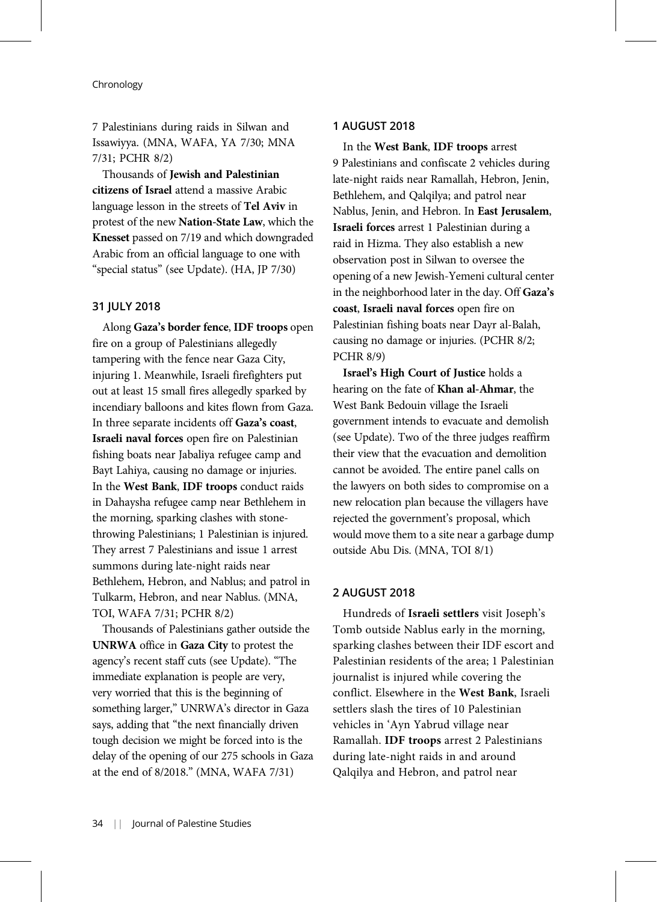7 Palestinians during raids in Silwan and Issawiyya. (MNA, WAFA, YA 7/30; MNA 7/31; PCHR 8/2)

Thousands of Jewish and Palestinian citizens of Israel attend a massive Arabic language lesson in the streets of Tel Aviv in protest of the new Nation-State Law, which the Knesset passed on 7/19 and which downgraded Arabic from an official language to one with "special status" (see Update). (HA, JP 7/30)

## 31 JULY 2018

Along Gaza's border fence, IDF troops open fire on a group of Palestinians allegedly tampering with the fence near Gaza City, injuring 1. Meanwhile, Israeli firefighters put out at least 15 small fires allegedly sparked by incendiary balloons and kites flown from Gaza. In three separate incidents off Gaza's coast, Israeli naval forces open fire on Palestinian fishing boats near Jabaliya refugee camp and Bayt Lahiya, causing no damage or injuries. In the West Bank, IDF troops conduct raids in Dahaysha refugee camp near Bethlehem in the morning, sparking clashes with stonethrowing Palestinians; 1 Palestinian is injured. They arrest 7 Palestinians and issue 1 arrest summons during late-night raids near Bethlehem, Hebron, and Nablus; and patrol in Tulkarm, Hebron, and near Nablus. (MNA, TOI, WAFA 7/31; PCHR 8/2)

Thousands of Palestinians gather outside the UNRWA office in Gaza City to protest the agency's recent staff cuts (see Update). "The immediate explanation is people are very, very worried that this is the beginning of something larger," UNRWA's director in Gaza says, adding that "the next financially driven tough decision we might be forced into is the delay of the opening of our 275 schools in Gaza at the end of 8/2018." (MNA, WAFA 7/31)

# 1 AUGUST 2018

In the West Bank, IDF troops arrest 9 Palestinians and confiscate 2 vehicles during late-night raids near Ramallah, Hebron, Jenin, Bethlehem, and Qalqilya; and patrol near Nablus, Jenin, and Hebron. In East Jerusalem, Israeli forces arrest 1 Palestinian during a raid in Hizma. They also establish a new observation post in Silwan to oversee the opening of a new Jewish-Yemeni cultural center in the neighborhood later in the day. Off Gaza's coast, Israeli naval forces open fire on Palestinian fishing boats near Dayr al-Balah, causing no damage or injuries. (PCHR 8/2; PCHR 8/9)

Israel's High Court of Justice holds a hearing on the fate of Khan al-Ahmar, the West Bank Bedouin village the Israeli government intends to evacuate and demolish (see Update). Two of the three judges reaffirm their view that the evacuation and demolition cannot be avoided. The entire panel calls on the lawyers on both sides to compromise on a new relocation plan because the villagers have rejected the government's proposal, which would move them to a site near a garbage dump outside Abu Dis. (MNA, TOI 8/1)

# 2 AUGUST 2018

Hundreds of Israeli settlers visit Joseph's Tomb outside Nablus early in the morning, sparking clashes between their IDF escort and Palestinian residents of the area; 1 Palestinian journalist is injured while covering the conflict. Elsewhere in the West Bank, Israeli settlers slash the tires of 10 Palestinian vehicles in 'Ayn Yabrud village near Ramallah. IDF troops arrest 2 Palestinians during late-night raids in and around Qalqilya and Hebron, and patrol near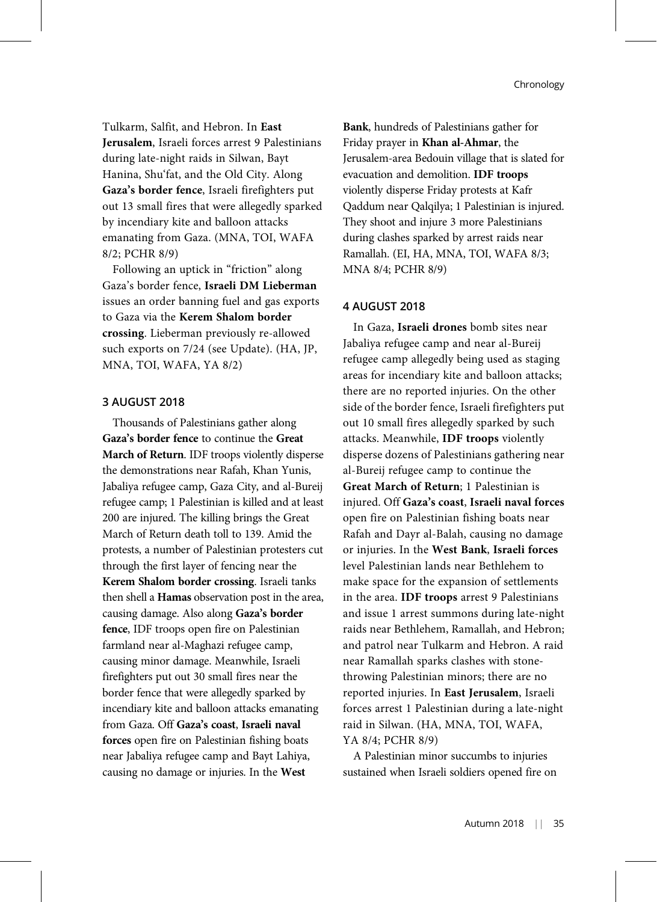Tulkarm, Salfit, and Hebron. In East Jerusalem, Israeli forces arrest 9 Palestinians during late-night raids in Silwan, Bayt Hanina, Shu'fat, and the Old City. Along Gaza's border fence, Israeli firefighters put out 13 small fires that were allegedly sparked by incendiary kite and balloon attacks emanating from Gaza. (MNA, TOI, WAFA 8/2; PCHR 8/9)

Following an uptick in "friction" along Gaza's border fence, Israeli DM Lieberman issues an order banning fuel and gas exports to Gaza via the Kerem Shalom border crossing. Lieberman previously re-allowed such exports on 7/24 (see Update). (HA, JP, MNA, TOI, WAFA, YA 8/2)

# 3 AUGUST 2018

Thousands of Palestinians gather along Gaza's border fence to continue the Great March of Return. IDF troops violently disperse the demonstrations near Rafah, Khan Yunis, Jabaliya refugee camp, Gaza City, and al-Bureij refugee camp; 1 Palestinian is killed and at least 200 are injured. The killing brings the Great March of Return death toll to 139. Amid the protests, a number of Palestinian protesters cut through the first layer of fencing near the Kerem Shalom border crossing. Israeli tanks then shell a Hamas observation post in the area, causing damage. Also along Gaza's border fence, IDF troops open fire on Palestinian farmland near al-Maghazi refugee camp, causing minor damage. Meanwhile, Israeli firefighters put out 30 small fires near the border fence that were allegedly sparked by incendiary kite and balloon attacks emanating from Gaza. Off Gaza's coast, Israeli naval forces open fire on Palestinian fishing boats near Jabaliya refugee camp and Bayt Lahiya, causing no damage or injuries. In the West

Bank, hundreds of Palestinians gather for Friday prayer in Khan al-Ahmar, the Jerusalem-area Bedouin village that is slated for evacuation and demolition. IDF troops violently disperse Friday protests at Kafr Qaddum near Qalqilya; 1 Palestinian is injured. They shoot and injure 3 more Palestinians during clashes sparked by arrest raids near Ramallah. (EI, HA, MNA, TOI, WAFA 8/3; MNA 8/4; PCHR 8/9)

#### 4 AUGUST 2018

In Gaza, Israeli drones bomb sites near Jabaliya refugee camp and near al-Bureij refugee camp allegedly being used as staging areas for incendiary kite and balloon attacks; there are no reported injuries. On the other side of the border fence, Israeli firefighters put out 10 small fires allegedly sparked by such attacks. Meanwhile, IDF troops violently disperse dozens of Palestinians gathering near al-Bureij refugee camp to continue the Great March of Return; 1 Palestinian is injured. Off Gaza's coast, Israeli naval forces open fire on Palestinian fishing boats near Rafah and Dayr al-Balah, causing no damage or injuries. In the West Bank, Israeli forces level Palestinian lands near Bethlehem to make space for the expansion of settlements in the area. IDF troops arrest 9 Palestinians and issue 1 arrest summons during late-night raids near Bethlehem, Ramallah, and Hebron; and patrol near Tulkarm and Hebron. A raid near Ramallah sparks clashes with stonethrowing Palestinian minors; there are no reported injuries. In East Jerusalem, Israeli forces arrest 1 Palestinian during a late-night raid in Silwan. (HA, MNA, TOI, WAFA, YA 8/4; PCHR 8/9)

A Palestinian minor succumbs to injuries sustained when Israeli soldiers opened fire on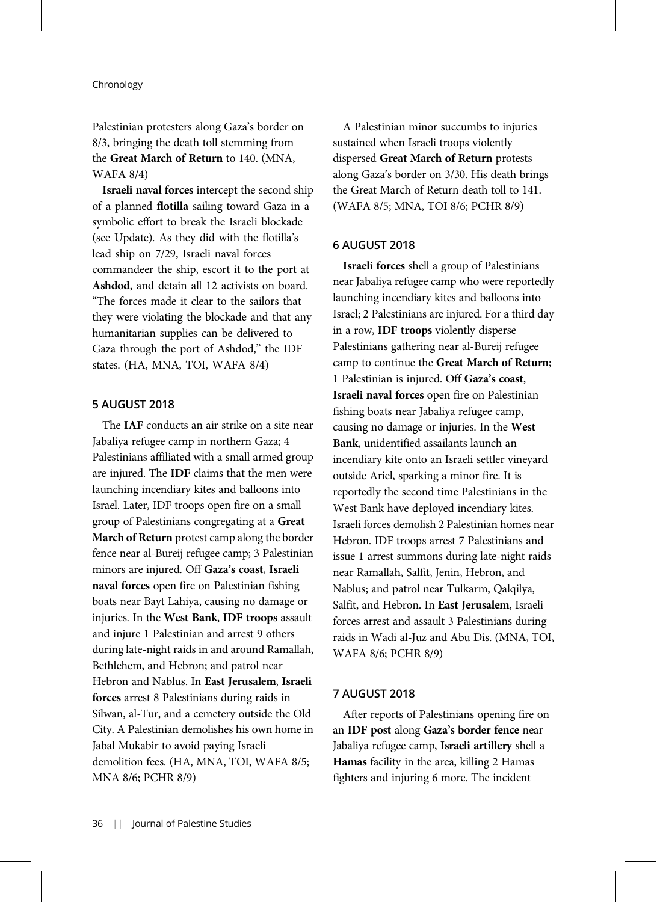Palestinian protesters along Gaza's border on 8/3, bringing the death toll stemming from the Great March of Return to 140. (MNA, WAFA 8/4)

Israeli naval forces intercept the second ship of a planned flotilla sailing toward Gaza in a symbolic effort to break the Israeli blockade (see Update). As they did with the flotilla's lead ship on 7/29, Israeli naval forces commandeer the ship, escort it to the port at Ashdod, and detain all 12 activists on board. "The forces made it clear to the sailors that they were violating the blockade and that any humanitarian supplies can be delivered to Gaza through the port of Ashdod," the IDF states. (HA, MNA, TOI, WAFA 8/4)

# 5 AUGUST 2018

The IAF conducts an air strike on a site near Jabaliya refugee camp in northern Gaza; 4 Palestinians affiliated with a small armed group are injured. The IDF claims that the men were launching incendiary kites and balloons into Israel. Later, IDF troops open fire on a small group of Palestinians congregating at a Great March of Return protest camp along the border fence near al-Bureij refugee camp; 3 Palestinian minors are injured. Off Gaza's coast, Israeli naval forces open fire on Palestinian fishing boats near Bayt Lahiya, causing no damage or injuries. In the West Bank, IDF troops assault and injure 1 Palestinian and arrest 9 others during late-night raids in and around Ramallah, Bethlehem, and Hebron; and patrol near Hebron and Nablus. In East Jerusalem, Israeli forces arrest 8 Palestinians during raids in Silwan, al-Tur, and a cemetery outside the Old City. A Palestinian demolishes his own home in Jabal Mukabir to avoid paying Israeli demolition fees. (HA, MNA, TOI, WAFA 8/5; MNA 8/6; PCHR 8/9)

A Palestinian minor succumbs to injuries sustained when Israeli troops violently dispersed Great March of Return protests along Gaza's border on 3/30. His death brings the Great March of Return death toll to 141. (WAFA 8/5; MNA, TOI 8/6; PCHR 8/9)

# 6 AUGUST 2018

Israeli forces shell a group of Palestinians near Jabaliya refugee camp who were reportedly launching incendiary kites and balloons into Israel; 2 Palestinians are injured. For a third day in a row, IDF troops violently disperse Palestinians gathering near al-Bureij refugee camp to continue the Great March of Return; 1 Palestinian is injured. Off Gaza's coast, Israeli naval forces open fire on Palestinian fishing boats near Jabaliya refugee camp, causing no damage or injuries. In the West Bank, unidentified assailants launch an incendiary kite onto an Israeli settler vineyard outside Ariel, sparking a minor fire. It is reportedly the second time Palestinians in the West Bank have deployed incendiary kites. Israeli forces demolish 2 Palestinian homes near Hebron. IDF troops arrest 7 Palestinians and issue 1 arrest summons during late-night raids near Ramallah, Salfit, Jenin, Hebron, and Nablus; and patrol near Tulkarm, Qalqilya, Salfit, and Hebron. In East Jerusalem, Israeli forces arrest and assault 3 Palestinians during raids in Wadi al-Juz and Abu Dis. (MNA, TOI, WAFA 8/6; PCHR 8/9)

# 7 AUGUST 2018

After reports of Palestinians opening fire on an IDF post along Gaza's border fence near Jabaliya refugee camp, Israeli artillery shell a Hamas facility in the area, killing 2 Hamas fighters and injuring 6 more. The incident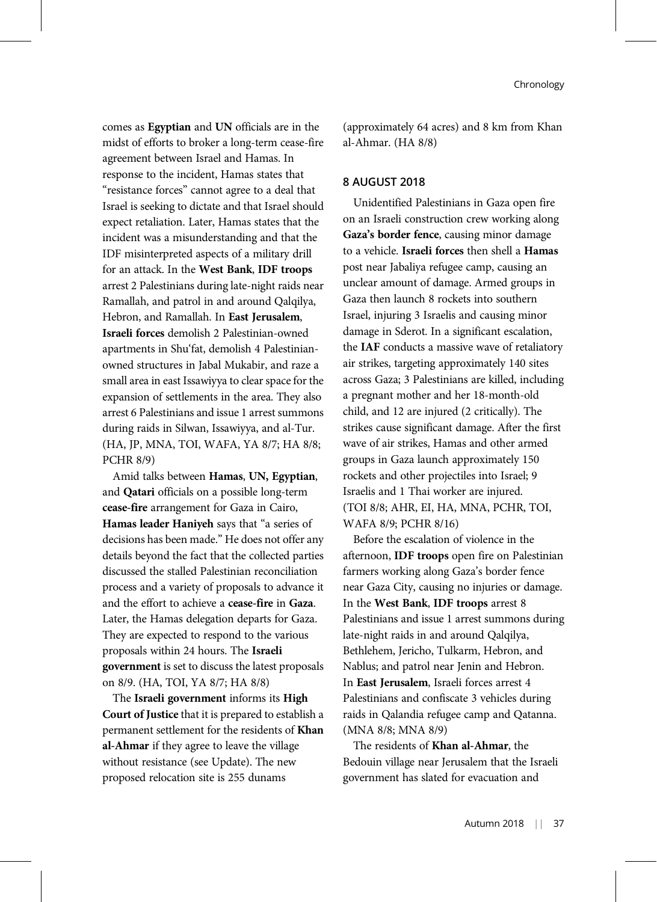comes as Egyptian and UN officials are in the midst of efforts to broker a long-term cease-fire agreement between Israel and Hamas. In response to the incident, Hamas states that "resistance forces" cannot agree to a deal that Israel is seeking to dictate and that Israel should expect retaliation. Later, Hamas states that the incident was a misunderstanding and that the IDF misinterpreted aspects of a military drill for an attack. In the West Bank, IDF troops arrest 2 Palestinians during late-night raids near Ramallah, and patrol in and around Qalqilya, Hebron, and Ramallah. In East Jerusalem, Israeli forces demolish 2 Palestinian-owned apartments in Shu'fat, demolish 4 Palestinianowned structures in Jabal Mukabir, and raze a small area in east Issawiyya to clear space for the expansion of settlements in the area. They also arrest 6 Palestinians and issue 1 arrest summons during raids in Silwan, Issawiyya, and al-Tur. (HA, JP, MNA, TOI, WAFA, YA 8/7; HA 8/8; PCHR 8/9)

Amid talks between Hamas, UN, Egyptian, and Qatari officials on a possible long-term cease-fire arrangement for Gaza in Cairo, Hamas leader Haniyeh says that "a series of decisions has been made." He does not offer any details beyond the fact that the collected parties discussed the stalled Palestinian reconciliation process and a variety of proposals to advance it and the effort to achieve a cease-fire in Gaza. Later, the Hamas delegation departs for Gaza. They are expected to respond to the various proposals within 24 hours. The Israeli government is set to discuss the latest proposals on 8/9. (HA, TOI, YA 8/7; HA 8/8)

The Israeli government informs its High Court of Justice that it is prepared to establish a permanent settlement for the residents of Khan al-Ahmar if they agree to leave the village without resistance (see Update). The new proposed relocation site is 255 dunams

(approximately 64 acres) and 8 km from Khan al-Ahmar. (HA 8/8)

## 8 AUGUST 2018

Unidentified Palestinians in Gaza open fire on an Israeli construction crew working along Gaza's border fence, causing minor damage to a vehicle. Israeli forces then shell a Hamas post near Jabaliya refugee camp, causing an unclear amount of damage. Armed groups in Gaza then launch 8 rockets into southern Israel, injuring 3 Israelis and causing minor damage in Sderot. In a significant escalation, the IAF conducts a massive wave of retaliatory air strikes, targeting approximately 140 sites across Gaza; 3 Palestinians are killed, including a pregnant mother and her 18-month-old child, and 12 are injured (2 critically). The strikes cause significant damage. After the first wave of air strikes, Hamas and other armed groups in Gaza launch approximately 150 rockets and other projectiles into Israel; 9 Israelis and 1 Thai worker are injured. (TOI 8/8; AHR, EI, HA, MNA, PCHR, TOI, WAFA 8/9; PCHR 8/16)

Before the escalation of violence in the afternoon, IDF troops open fire on Palestinian farmers working along Gaza's border fence near Gaza City, causing no injuries or damage. In the West Bank, IDF troops arrest 8 Palestinians and issue 1 arrest summons during late-night raids in and around Qalqilya, Bethlehem, Jericho, Tulkarm, Hebron, and Nablus; and patrol near Jenin and Hebron. In East Jerusalem, Israeli forces arrest 4 Palestinians and confiscate 3 vehicles during raids in Qalandia refugee camp and Qatanna. (MNA 8/8; MNA 8/9)

The residents of Khan al-Ahmar, the Bedouin village near Jerusalem that the Israeli government has slated for evacuation and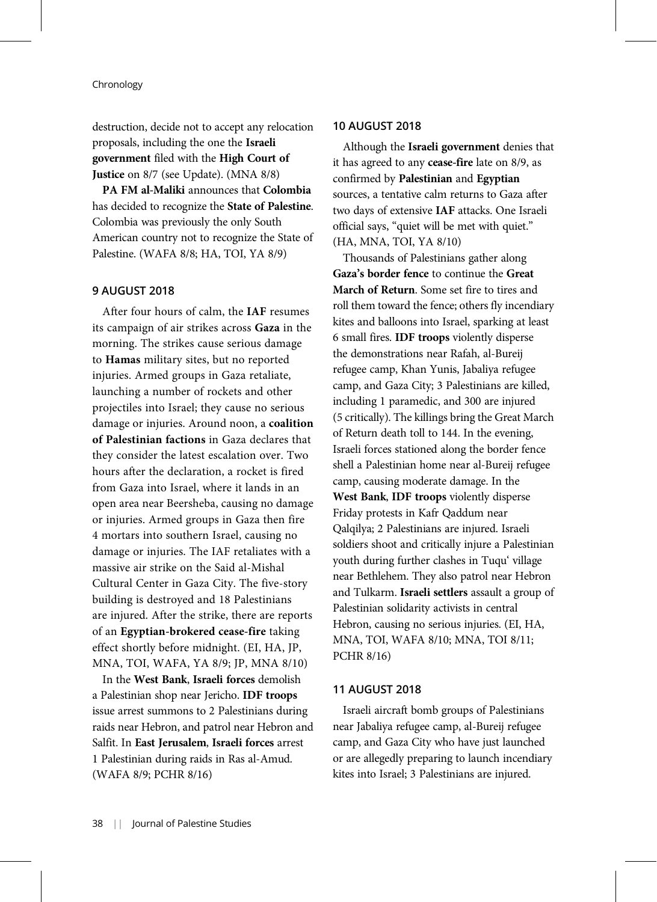destruction, decide not to accept any relocation proposals, including the one the Israeli government filed with the High Court of Justice on 8/7 (see Update). (MNA 8/8)

PA FM al-Maliki announces that Colombia has decided to recognize the State of Palestine. Colombia was previously the only South American country not to recognize the State of Palestine. (WAFA 8/8; HA, TOI, YA 8/9)

# 9 AUGUST 2018

After four hours of calm, the IAF resumes its campaign of air strikes across Gaza in the morning. The strikes cause serious damage to Hamas military sites, but no reported injuries. Armed groups in Gaza retaliate, launching a number of rockets and other projectiles into Israel; they cause no serious damage or injuries. Around noon, a coalition of Palestinian factions in Gaza declares that they consider the latest escalation over. Two hours after the declaration, a rocket is fired from Gaza into Israel, where it lands in an open area near Beersheba, causing no damage or injuries. Armed groups in Gaza then fire 4 mortars into southern Israel, causing no damage or injuries. The IAF retaliates with a massive air strike on the Said al-Mishal Cultural Center in Gaza City. The five-story building is destroyed and 18 Palestinians are injured. After the strike, there are reports of an Egyptian-brokered cease-fire taking effect shortly before midnight. (EI, HA, JP, MNA, TOI, WAFA, YA 8/9; JP, MNA 8/10)

In the West Bank, Israeli forces demolish a Palestinian shop near Jericho. IDF troops issue arrest summons to 2 Palestinians during raids near Hebron, and patrol near Hebron and Salfit. In East Jerusalem, Israeli forces arrest 1 Palestinian during raids in Ras al-Amud. (WAFA 8/9; PCHR 8/16)

# 10 AUGUST 2018

Although the Israeli government denies that it has agreed to any cease-fire late on 8/9, as confirmed by Palestinian and Egyptian sources, a tentative calm returns to Gaza after two days of extensive IAF attacks. One Israeli official says, "quiet will be met with quiet." (HA, MNA, TOI, YA 8/10)

Thousands of Palestinians gather along Gaza's border fence to continue the Great March of Return. Some set fire to tires and roll them toward the fence; others fly incendiary kites and balloons into Israel, sparking at least 6 small fires. IDF troops violently disperse the demonstrations near Rafah, al-Bureij refugee camp, Khan Yunis, Jabaliya refugee camp, and Gaza City; 3 Palestinians are killed, including 1 paramedic, and 300 are injured (5 critically). The killings bring the Great March of Return death toll to 144. In the evening, Israeli forces stationed along the border fence shell a Palestinian home near al-Bureij refugee camp, causing moderate damage. In the West Bank, IDF troops violently disperse Friday protests in Kafr Qaddum near Qalqilya; 2 Palestinians are injured. Israeli soldiers shoot and critically injure a Palestinian youth during further clashes in Tuqu' village near Bethlehem. They also patrol near Hebron and Tulkarm. Israeli settlers assault a group of Palestinian solidarity activists in central Hebron, causing no serious injuries. (EI, HA, MNA, TOI, WAFA 8/10; MNA, TOI 8/11; PCHR 8/16)

## 11 AUGUST 2018

Israeli aircraft bomb groups of Palestinians near Jabaliya refugee camp, al-Bureij refugee camp, and Gaza City who have just launched or are allegedly preparing to launch incendiary kites into Israel; 3 Palestinians are injured.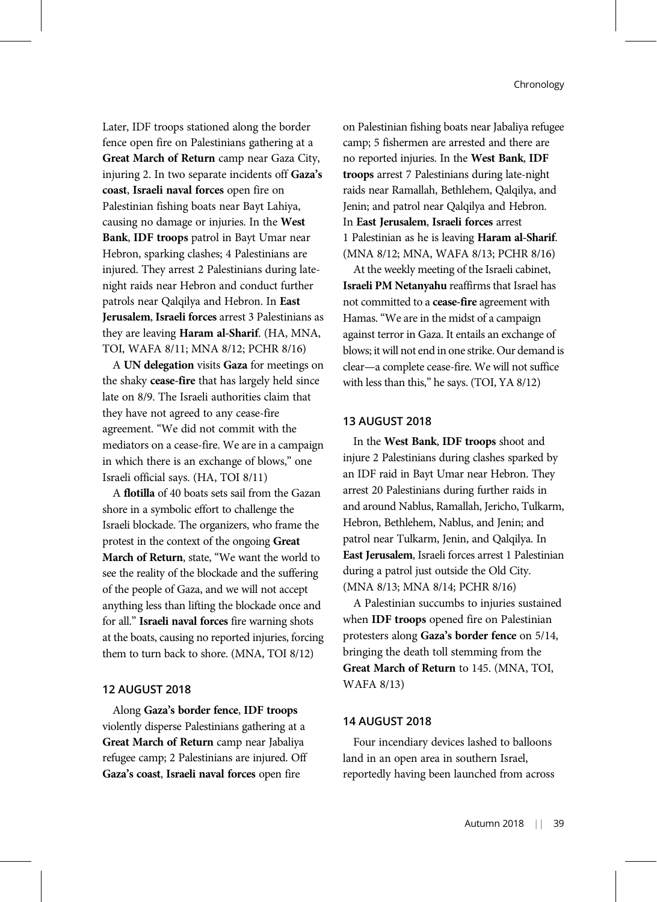Later, IDF troops stationed along the border fence open fire on Palestinians gathering at a Great March of Return camp near Gaza City, injuring 2. In two separate incidents off Gaza's coast, Israeli naval forces open fire on Palestinian fishing boats near Bayt Lahiya, causing no damage or injuries. In the West Bank, IDF troops patrol in Bayt Umar near Hebron, sparking clashes; 4 Palestinians are injured. They arrest 2 Palestinians during latenight raids near Hebron and conduct further patrols near Qalqilya and Hebron. In East Jerusalem, Israeli forces arrest 3 Palestinians as they are leaving Haram al-Sharif. (HA, MNA, TOI, WAFA 8/11; MNA 8/12; PCHR 8/16)

A UN delegation visits Gaza for meetings on the shaky cease-fire that has largely held since late on 8/9. The Israeli authorities claim that they have not agreed to any cease-fire agreement. "We did not commit with the mediators on a cease-fire. We are in a campaign in which there is an exchange of blows," one Israeli official says. (HA, TOI 8/11)

A flotilla of 40 boats sets sail from the Gazan shore in a symbolic effort to challenge the Israeli blockade. The organizers, who frame the protest in the context of the ongoing Great March of Return, state, "We want the world to see the reality of the blockade and the suffering of the people of Gaza, and we will not accept anything less than lifting the blockade once and for all." Israeli naval forces fire warning shots at the boats, causing no reported injuries, forcing them to turn back to shore. (MNA, TOI 8/12)

## 12 AUGUST 2018

Along Gaza's border fence, IDF troops violently disperse Palestinians gathering at a Great March of Return camp near Jabaliya refugee camp; 2 Palestinians are injured. Off Gaza's coast, Israeli naval forces open fire

on Palestinian fishing boats near Jabaliya refugee camp; 5 fishermen are arrested and there are no reported injuries. In the West Bank, IDF troops arrest 7 Palestinians during late-night raids near Ramallah, Bethlehem, Qalqilya, and Jenin; and patrol near Qalqilya and Hebron. In East Jerusalem, Israeli forces arrest 1 Palestinian as he is leaving Haram al-Sharif. (MNA 8/12; MNA, WAFA 8/13; PCHR 8/16)

At the weekly meeting of the Israeli cabinet, Israeli PM Netanyahu reaffirms that Israel has not committed to a cease-fire agreement with Hamas. "We are in the midst of a campaign against terror in Gaza. It entails an exchange of blows; it will not end in one strike. Our demand is clear—a complete cease-fire. We will not suffice with less than this," he says. (TOI, YA 8/12)

## 13 AUGUST 2018

In the West Bank, IDF troops shoot and injure 2 Palestinians during clashes sparked by an IDF raid in Bayt Umar near Hebron. They arrest 20 Palestinians during further raids in and around Nablus, Ramallah, Jericho, Tulkarm, Hebron, Bethlehem, Nablus, and Jenin; and patrol near Tulkarm, Jenin, and Qalqilya. In East Jerusalem, Israeli forces arrest 1 Palestinian during a patrol just outside the Old City. (MNA 8/13; MNA 8/14; PCHR 8/16)

A Palestinian succumbs to injuries sustained when IDF troops opened fire on Palestinian protesters along Gaza's border fence on 5/14, bringing the death toll stemming from the Great March of Return to 145. (MNA, TOI, WAFA 8/13)

# 14 AUGUST 2018

Four incendiary devices lashed to balloons land in an open area in southern Israel, reportedly having been launched from across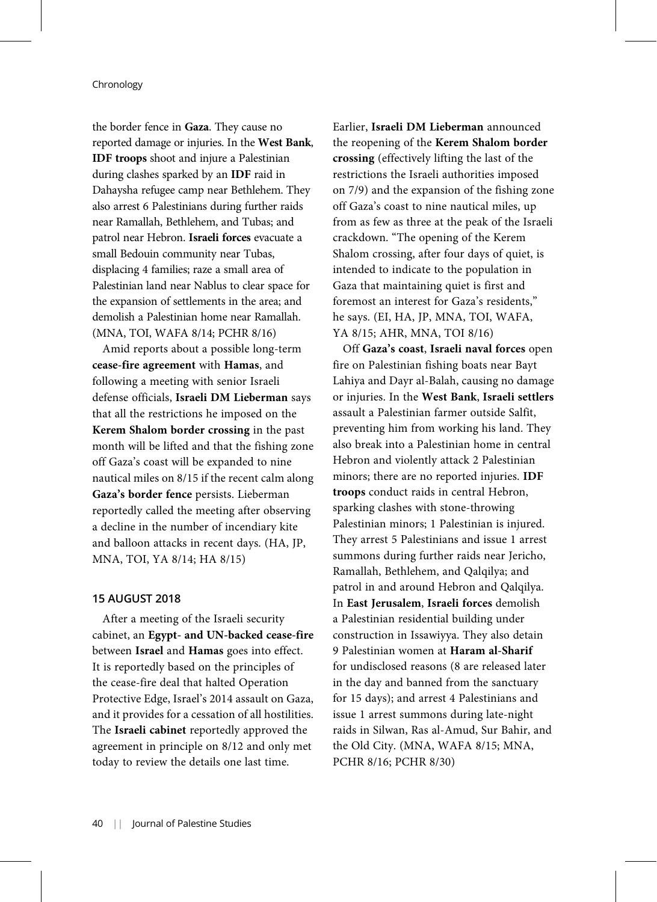the border fence in Gaza. They cause no reported damage or injuries. In the West Bank, IDF troops shoot and injure a Palestinian during clashes sparked by an IDF raid in Dahaysha refugee camp near Bethlehem. They also arrest 6 Palestinians during further raids near Ramallah, Bethlehem, and Tubas; and patrol near Hebron. Israeli forces evacuate a small Bedouin community near Tubas, displacing 4 families; raze a small area of Palestinian land near Nablus to clear space for the expansion of settlements in the area; and demolish a Palestinian home near Ramallah. (MNA, TOI, WAFA 8/14; PCHR 8/16)

Amid reports about a possible long-term cease-fire agreement with Hamas, and following a meeting with senior Israeli defense officials, Israeli DM Lieberman says that all the restrictions he imposed on the Kerem Shalom border crossing in the past month will be lifted and that the fishing zone off Gaza's coast will be expanded to nine nautical miles on 8/15 if the recent calm along Gaza's border fence persists. Lieberman reportedly called the meeting after observing a decline in the number of incendiary kite and balloon attacks in recent days. (HA, JP, MNA, TOI, YA 8/14; HA 8/15)

## 15 AUGUST 2018

After a meeting of the Israeli security cabinet, an Egypt- and UN-backed cease-fire between Israel and Hamas goes into effect. It is reportedly based on the principles of the cease-fire deal that halted Operation Protective Edge, Israel's 2014 assault on Gaza, and it provides for a cessation of all hostilities. The Israeli cabinet reportedly approved the agreement in principle on 8/12 and only met today to review the details one last time.

Earlier, Israeli DM Lieberman announced the reopening of the Kerem Shalom border crossing (effectively lifting the last of the restrictions the Israeli authorities imposed on 7/9) and the expansion of the fishing zone off Gaza's coast to nine nautical miles, up from as few as three at the peak of the Israeli crackdown. "The opening of the Kerem Shalom crossing, after four days of quiet, is intended to indicate to the population in Gaza that maintaining quiet is first and foremost an interest for Gaza's residents," he says. (EI, HA, JP, MNA, TOI, WAFA, YA 8/15; AHR, MNA, TOI 8/16)

Off Gaza's coast, Israeli naval forces open fire on Palestinian fishing boats near Bayt Lahiya and Dayr al-Balah, causing no damage or injuries. In the West Bank, Israeli settlers assault a Palestinian farmer outside Salfit, preventing him from working his land. They also break into a Palestinian home in central Hebron and violently attack 2 Palestinian minors; there are no reported injuries. IDF troops conduct raids in central Hebron, sparking clashes with stone-throwing Palestinian minors; 1 Palestinian is injured. They arrest 5 Palestinians and issue 1 arrest summons during further raids near Jericho, Ramallah, Bethlehem, and Qalqilya; and patrol in and around Hebron and Qalqilya. In East Jerusalem, Israeli forces demolish a Palestinian residential building under construction in Issawiyya. They also detain 9 Palestinian women at Haram al-Sharif for undisclosed reasons (8 are released later in the day and banned from the sanctuary for 15 days); and arrest 4 Palestinians and issue 1 arrest summons during late-night raids in Silwan, Ras al-Amud, Sur Bahir, and the Old City. (MNA, WAFA 8/15; MNA, PCHR 8/16; PCHR 8/30)